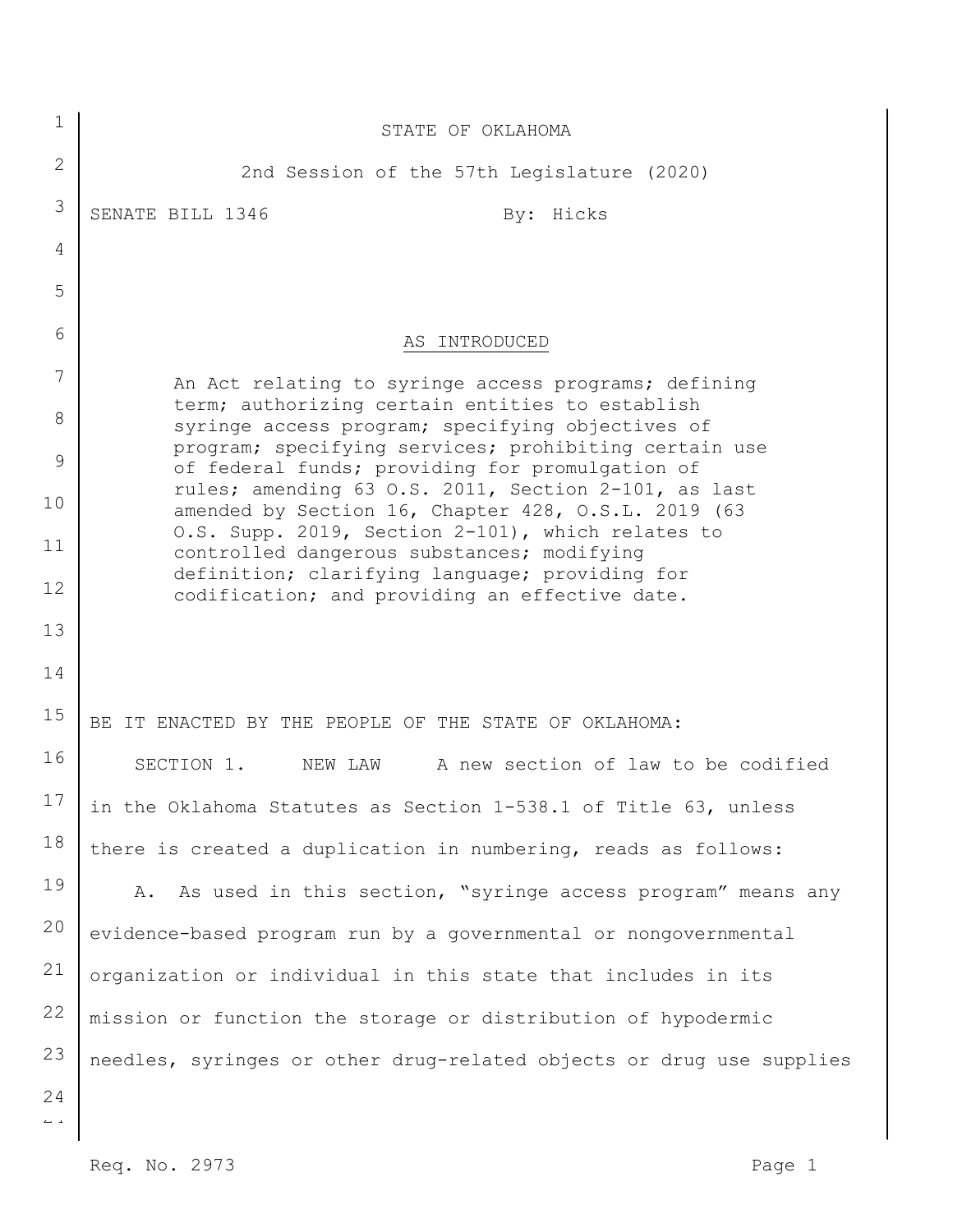| 1                              | STATE OF OKLAHOMA                                                                                           |
|--------------------------------|-------------------------------------------------------------------------------------------------------------|
| $\mathbf{2}$                   | 2nd Session of the 57th Legislature (2020)                                                                  |
| 3                              | SENATE BILL 1346<br>By: Hicks                                                                               |
| 4                              |                                                                                                             |
| 5                              |                                                                                                             |
| 6                              | AS INTRODUCED                                                                                               |
| 7                              | An Act relating to syringe access programs; defining                                                        |
| 8                              | term; authorizing certain entities to establish<br>syringe access program; specifying objectives of         |
| 9                              | program; specifying services; prohibiting certain use<br>of federal funds; providing for promulgation of    |
| 10                             | rules; amending 63 O.S. 2011, Section 2-101, as last<br>amended by Section 16, Chapter 428, O.S.L. 2019 (63 |
| 11                             | O.S. Supp. 2019, Section 2-101), which relates to<br>controlled dangerous substances; modifying             |
| 12                             | definition; clarifying language; providing for<br>codification; and providing an effective date.            |
| 13                             |                                                                                                             |
| 14                             |                                                                                                             |
| 15                             | BE IT ENACTED BY THE PEOPLE OF THE STATE OF OKLAHOMA:                                                       |
| 16                             | A new section of law to be codified<br>SECTION 1.<br>NEW LAW                                                |
| 17                             | in the Oklahoma Statutes as Section 1-538.1 of Title 63, unless                                             |
| 18                             | there is created a duplication in numbering, reads as follows:                                              |
| 19                             | As used in this section, "syringe access program" means any<br>A.                                           |
| 20                             | evidence-based program run by a governmental or nongovernmental                                             |
| 21                             | organization or individual in this state that includes in its                                               |
| 22                             | mission or function the storage or distribution of hypodermic                                               |
| 23                             | needles, syringes or other drug-related objects or drug use supplies                                        |
| 24<br>$\mathbb{L} \rightarrow$ |                                                                                                             |
|                                |                                                                                                             |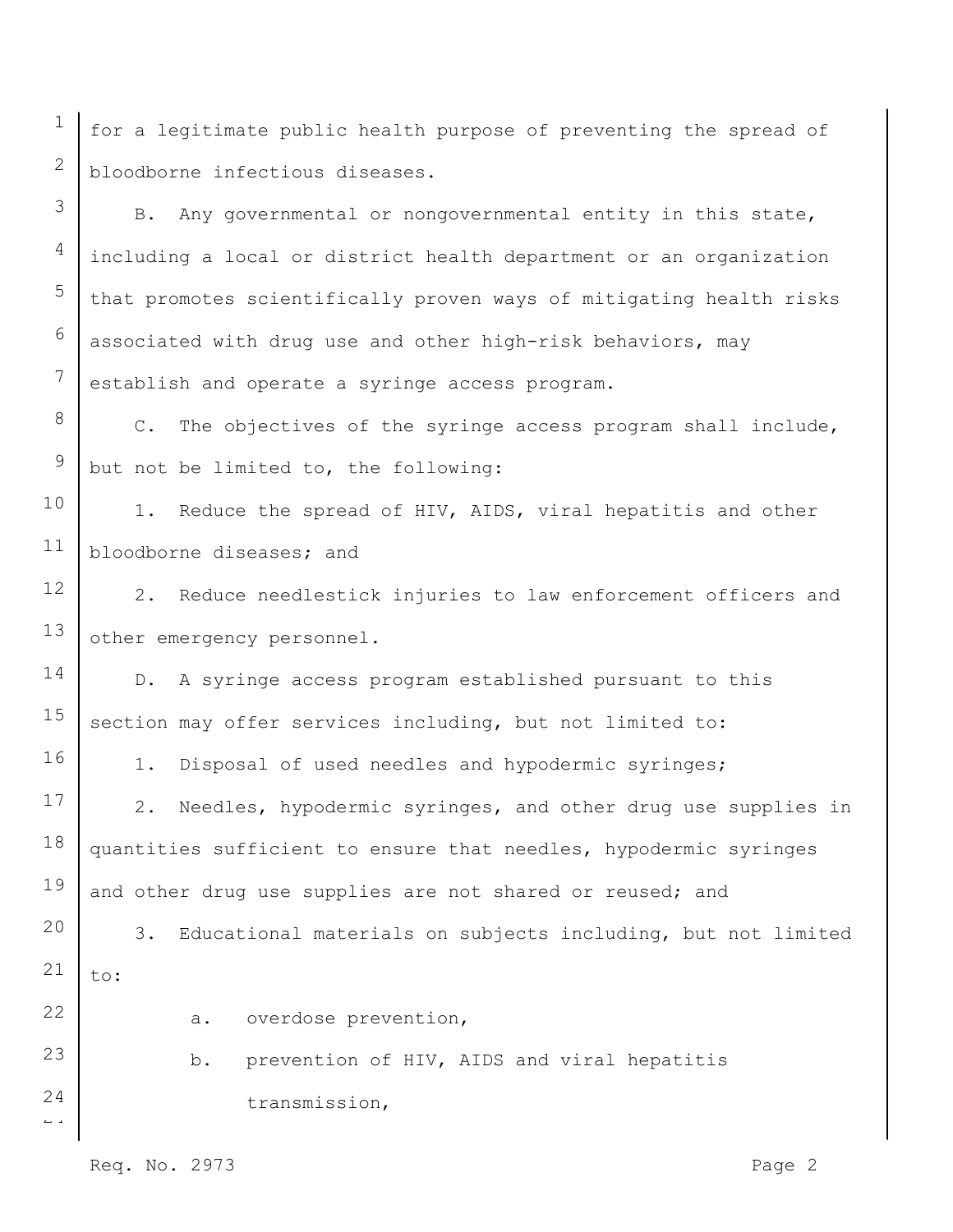for a legitimate public health purpose of preventing the spread of bloodborne infectious diseases.

B. Any governmental or nongovernmental entity in this state, including a local or district health department or an organization that promotes scientifically proven ways of mitigating health risks associated with drug use and other high-risk behaviors, may establish and operate a syringe access program.

C. The objectives of the syringe access program shall include, but not be limited to, the following:

10 11 1. Reduce the spread of HIV, AIDS, viral hepatitis and other bloodborne diseases; and

12 13 2. Reduce needlestick injuries to law enforcement officers and other emergency personnel.

14 15 D. A syringe access program established pursuant to this section may offer services including, but not limited to:

1. Disposal of used needles and hypodermic syringes;

17 18 19 2. Needles, hypodermic syringes, and other drug use supplies in quantities sufficient to ensure that needles, hypodermic syringes and other drug use supplies are not shared or reused; and

20 21 3. Educational materials on subjects including, but not limited to:

22

16

1

2

3

4

5

6

7

8

9

23

 $\overline{a}$ 

24

b. prevention of HIV, AIDS and viral hepatitis transmission,

a. overdose prevention,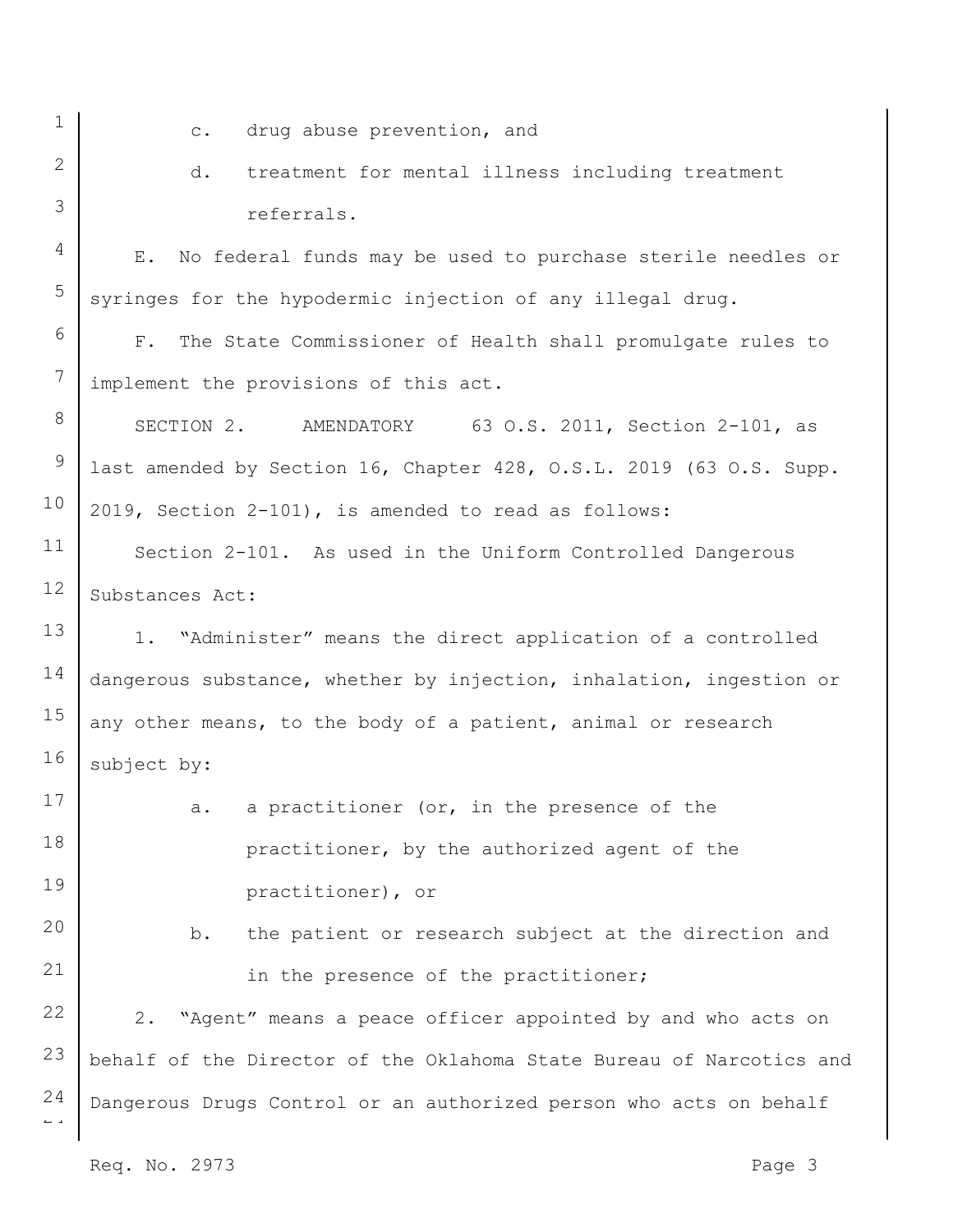6

7

8

9

10

11

12

13

14

15

16

17

18

19

20

21

22

23

1

 $\overline{a}$ 

24

Req. No. 2973 Page 3 c. drug abuse prevention, and d. treatment for mental illness including treatment referrals. E. No federal funds may be used to purchase sterile needles or syringes for the hypodermic injection of any illegal drug. F. The State Commissioner of Health shall promulgate rules to implement the provisions of this act. SECTION 2. AMENDATORY 63 O.S. 2011, Section 2-101, as last amended by Section 16, Chapter 428, O.S.L. 2019 (63 O.S. Supp. 2019, Section 2-101), is amended to read as follows: Section 2-101. As used in the Uniform Controlled Dangerous Substances Act: 1. "Administer" means the direct application of a controlled dangerous substance, whether by injection, inhalation, ingestion or any other means, to the body of a patient, animal or research subject by: a. a practitioner (or, in the presence of the practitioner, by the authorized agent of the practitioner), or b. the patient or research subject at the direction and in the presence of the practitioner; 2. "Agent" means a peace officer appointed by and who acts on behalf of the Director of the Oklahoma State Bureau of Narcotics and Dangerous Drugs Control or an authorized person who acts on behalf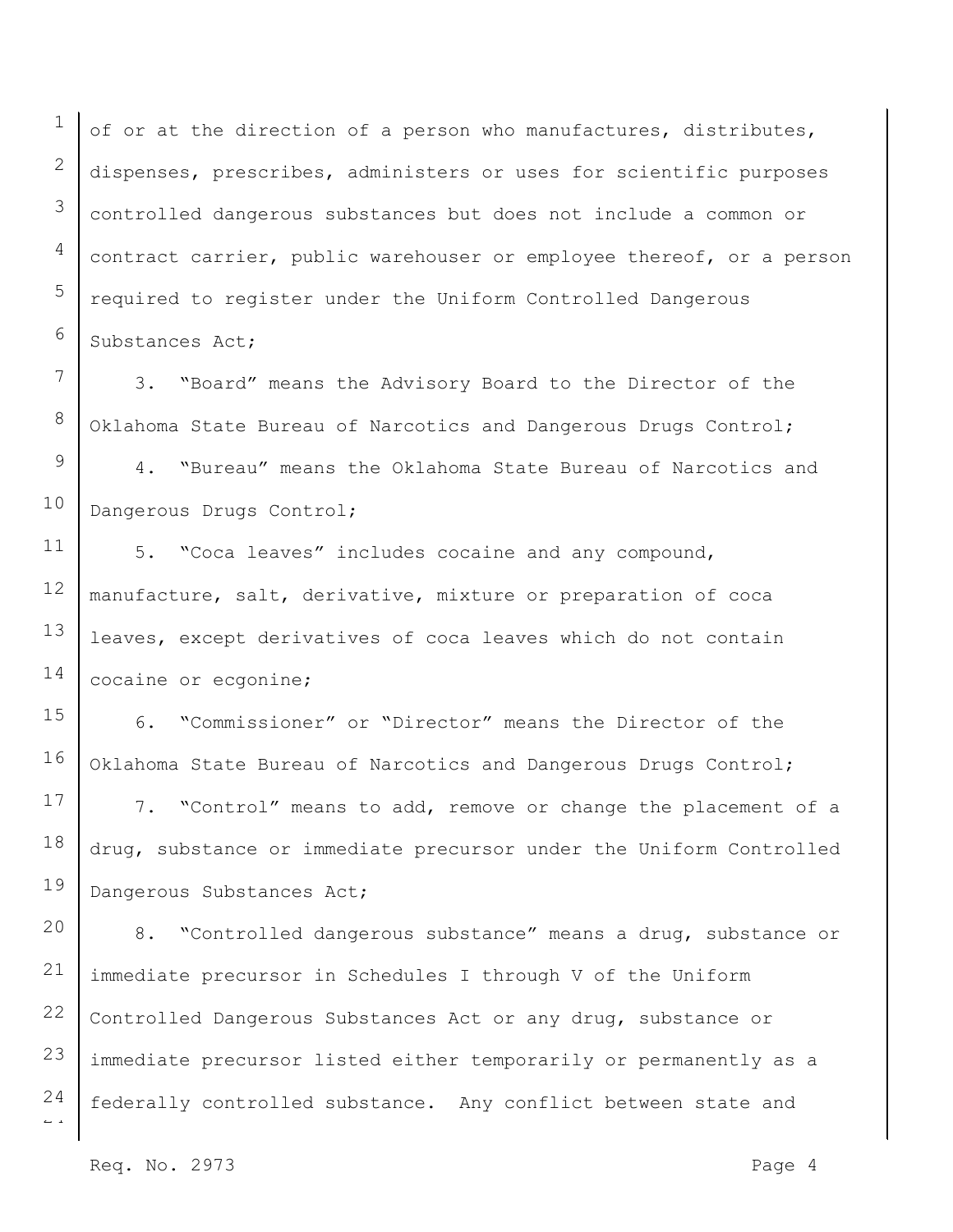1 2 3 4 5 6 of or at the direction of a person who manufactures, distributes, dispenses, prescribes, administers or uses for scientific purposes controlled dangerous substances but does not include a common or contract carrier, public warehouser or employee thereof, or a person required to register under the Uniform Controlled Dangerous Substances Act;

7 8 3. "Board" means the Advisory Board to the Director of the Oklahoma State Bureau of Narcotics and Dangerous Drugs Control;

9 10 4. "Bureau" means the Oklahoma State Bureau of Narcotics and Dangerous Drugs Control;

11 12 13 14 5. "Coca leaves" includes cocaine and any compound, manufacture, salt, derivative, mixture or preparation of coca leaves, except derivatives of coca leaves which do not contain cocaine or ecgonine;

15 16 6. "Commissioner" or "Director" means the Director of the Oklahoma State Bureau of Narcotics and Dangerous Drugs Control;

17 18 19 7. "Control" means to add, remove or change the placement of a drug, substance or immediate precursor under the Uniform Controlled Dangerous Substances Act;

20 21 22 23 24 8. "Controlled dangerous substance" means a drug, substance or immediate precursor in Schedules I through V of the Uniform Controlled Dangerous Substances Act or any drug, substance or immediate precursor listed either temporarily or permanently as a federally controlled substance. Any conflict between state and

Req. No. 2973 Page 4

 $\overline{a}$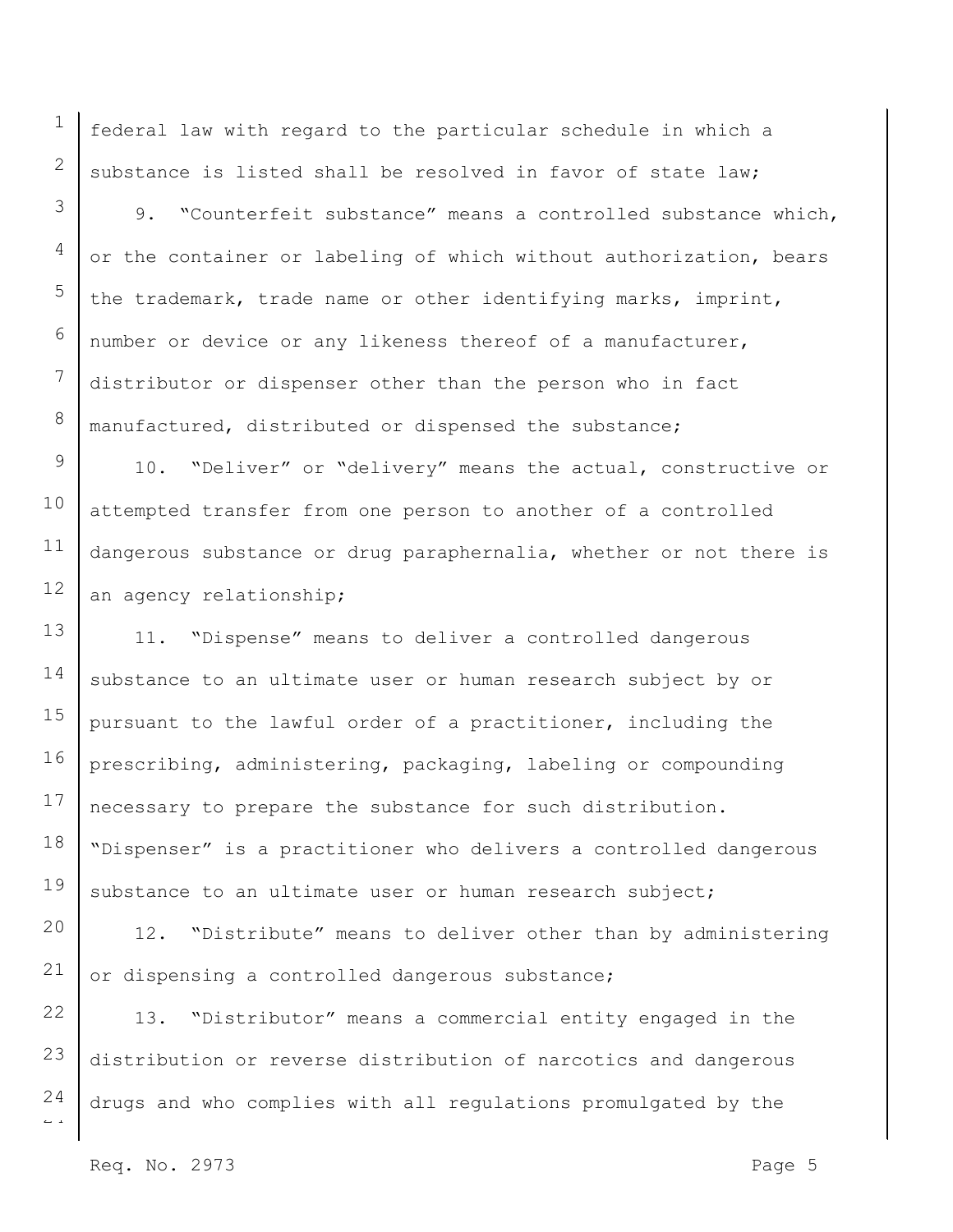federal law with regard to the particular schedule in which a substance is listed shall be resolved in favor of state law;

9. "Counterfeit substance" means a controlled substance which, or the container or labeling of which without authorization, bears the trademark, trade name or other identifying marks, imprint, number or device or any likeness thereof of a manufacturer, distributor or dispenser other than the person who in fact manufactured, distributed or dispensed the substance;

9 10 11 12 10. "Deliver" or "delivery" means the actual, constructive or attempted transfer from one person to another of a controlled dangerous substance or drug paraphernalia, whether or not there is an agency relationship;

13 14 15 16 17 18 19 11. "Dispense" means to deliver a controlled dangerous substance to an ultimate user or human research subject by or pursuant to the lawful order of a practitioner, including the prescribing, administering, packaging, labeling or compounding necessary to prepare the substance for such distribution. "Dispenser" is a practitioner who delivers a controlled dangerous substance to an ultimate user or human research subject;

20 21 12. "Distribute" means to deliver other than by administering or dispensing a controlled dangerous substance;

22 23 24 13. "Distributor" means a commercial entity engaged in the distribution or reverse distribution of narcotics and dangerous drugs and who complies with all regulations promulgated by the

 $\overline{a}$ 

1

2

3

4

5

6

7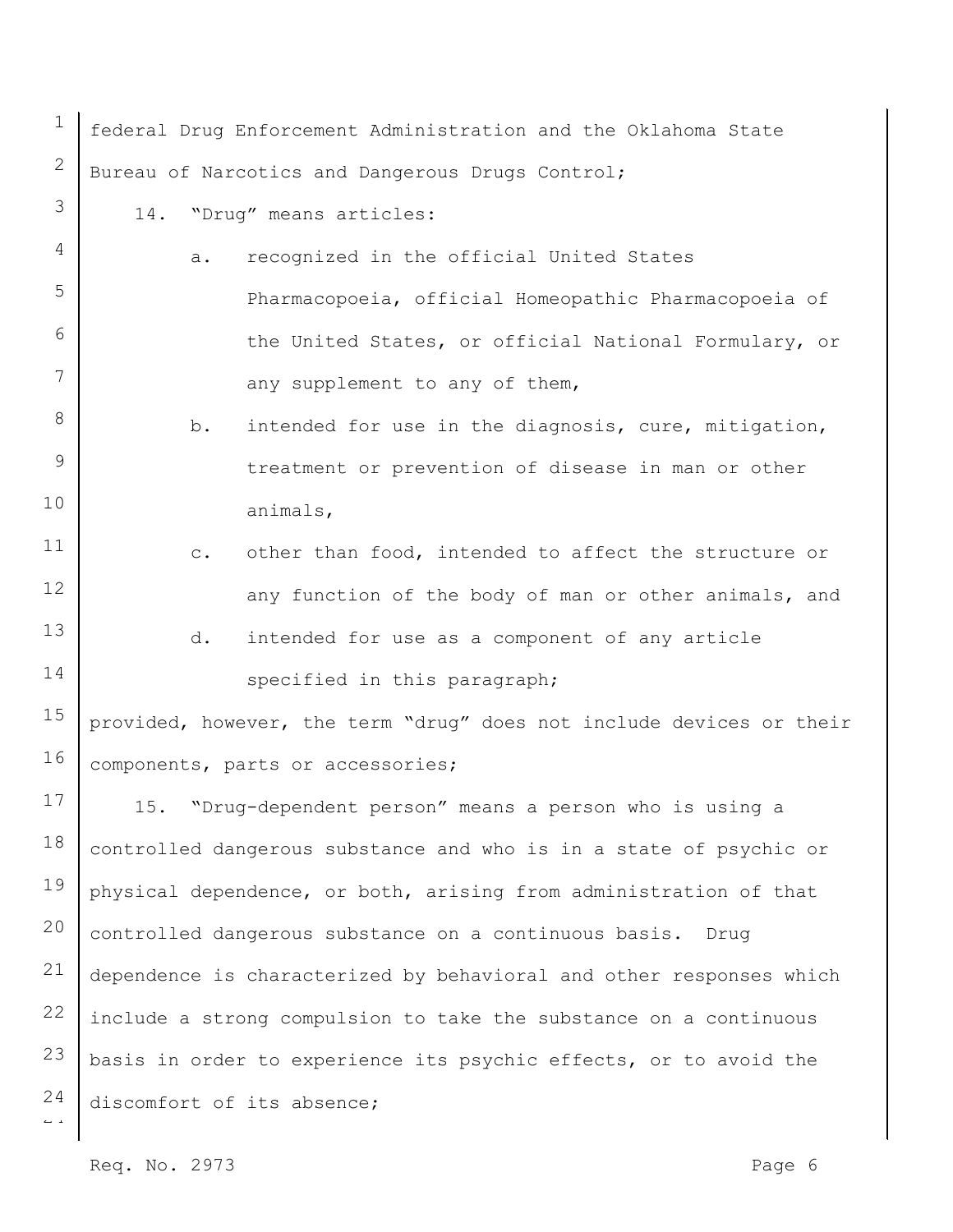$\overline{a}$ 1 2 3 4 5 6 7 8 9 10 11 12 13 14 15 16 17 18 19 20 21 22 23 24 federal Drug Enforcement Administration and the Oklahoma State Bureau of Narcotics and Dangerous Drugs Control; 14. "Drug" means articles: a. recognized in the official United States Pharmacopoeia, official Homeopathic Pharmacopoeia of the United States, or official National Formulary, or any supplement to any of them, b. intended for use in the diagnosis, cure, mitigation, treatment or prevention of disease in man or other animals, c. other than food, intended to affect the structure or any function of the body of man or other animals, and d. intended for use as a component of any article specified in this paragraph; provided, however, the term "drug" does not include devices or their components, parts or accessories; 15. "Drug-dependent person" means a person who is using a controlled dangerous substance and who is in a state of psychic or physical dependence, or both, arising from administration of that controlled dangerous substance on a continuous basis. Drug dependence is characterized by behavioral and other responses which include a strong compulsion to take the substance on a continuous basis in order to experience its psychic effects, or to avoid the discomfort of its absence;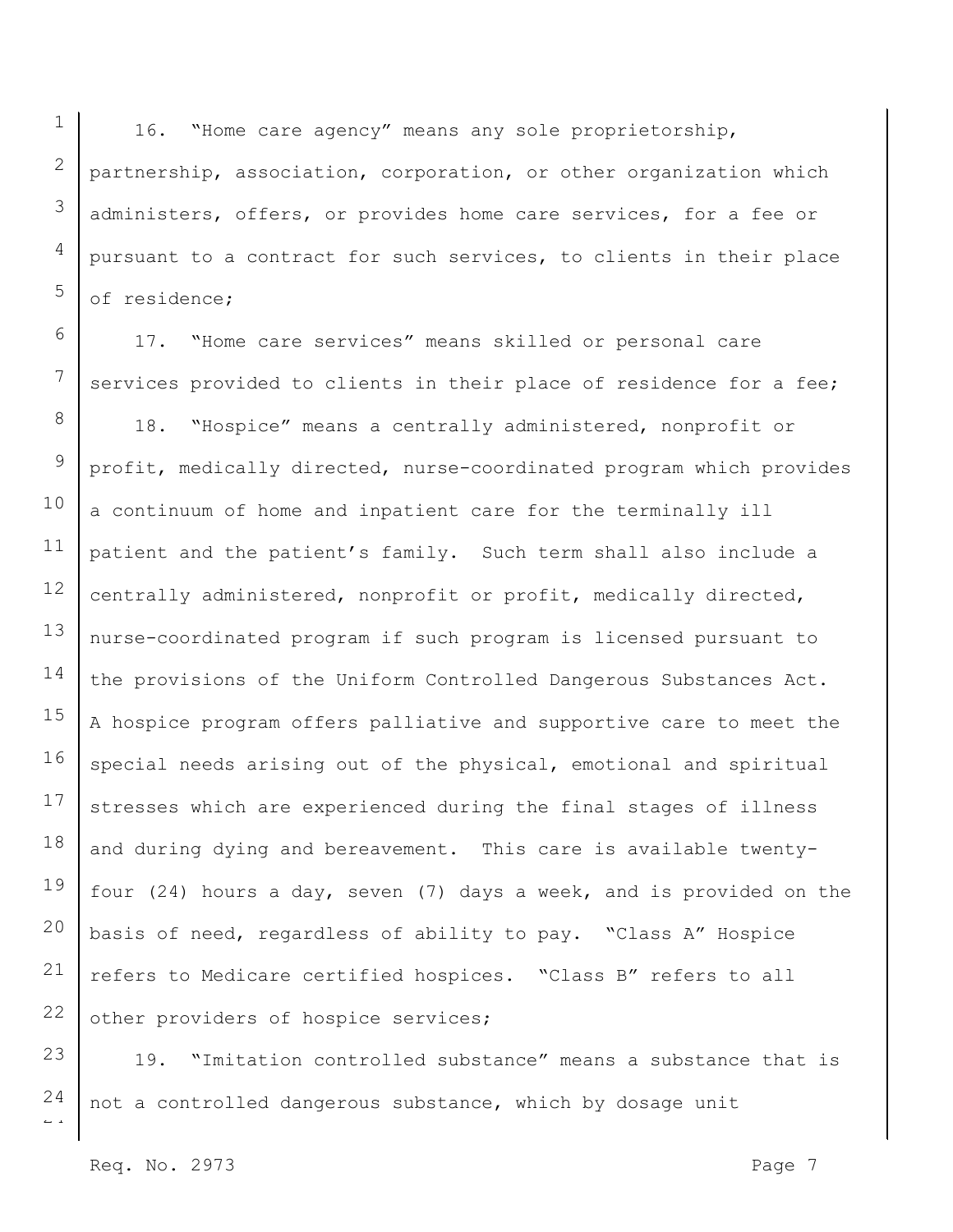1 2 3 4 5 16. "Home care agency" means any sole proprietorship, partnership, association, corporation, or other organization which administers, offers, or provides home care services, for a fee or pursuant to a contract for such services, to clients in their place of residence;

6 7 8 9 10 11 12 13 14 15 16 17 18 19 20 21 22 17. "Home care services" means skilled or personal care services provided to clients in their place of residence for a fee; 18. "Hospice" means a centrally administered, nonprofit or profit, medically directed, nurse-coordinated program which provides a continuum of home and inpatient care for the terminally ill patient and the patient's family. Such term shall also include a centrally administered, nonprofit or profit, medically directed, nurse-coordinated program if such program is licensed pursuant to the provisions of the Uniform Controlled Dangerous Substances Act. A hospice program offers palliative and supportive care to meet the special needs arising out of the physical, emotional and spiritual stresses which are experienced during the final stages of illness and during dying and bereavement. This care is available twentyfour (24) hours a day, seven (7) days a week, and is provided on the basis of need, regardless of ability to pay. "Class A" Hospice refers to Medicare certified hospices. "Class B" refers to all other providers of hospice services;

23 24 19. "Imitation controlled substance" means a substance that is not a controlled dangerous substance, which by dosage unit

 $\overline{a}$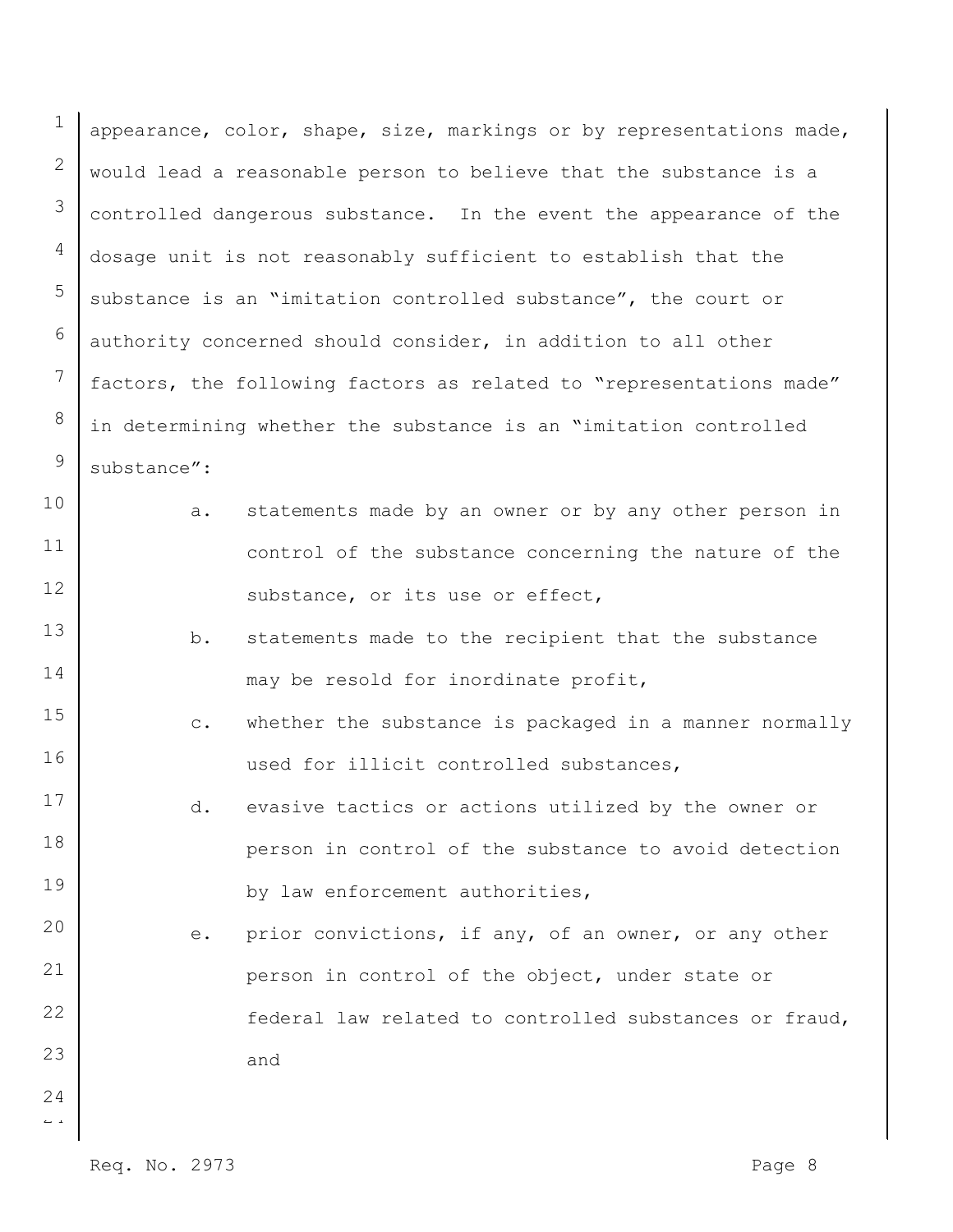1 2 3 4 5 6 7 8 9 appearance, color, shape, size, markings or by representations made, would lead a reasonable person to believe that the substance is a controlled dangerous substance. In the event the appearance of the dosage unit is not reasonably sufficient to establish that the substance is an "imitation controlled substance", the court or authority concerned should consider, in addition to all other factors, the following factors as related to "representations made" in determining whether the substance is an "imitation controlled substance":

- a. statements made by an owner or by any other person in control of the substance concerning the nature of the substance, or its use or effect,
- 13 14 b. statements made to the recipient that the substance may be resold for inordinate profit,
- 15 16 c. whether the substance is packaged in a manner normally used for illicit controlled substances,
	- d. evasive tactics or actions utilized by the owner or person in control of the substance to avoid detection by law enforcement authorities,
- 20 21 22 23 e. prior convictions, if any, of an owner, or any other person in control of the object, under state or federal law related to controlled substances or fraud, and
- $\overline{a}$ 24

10

11

12

17

18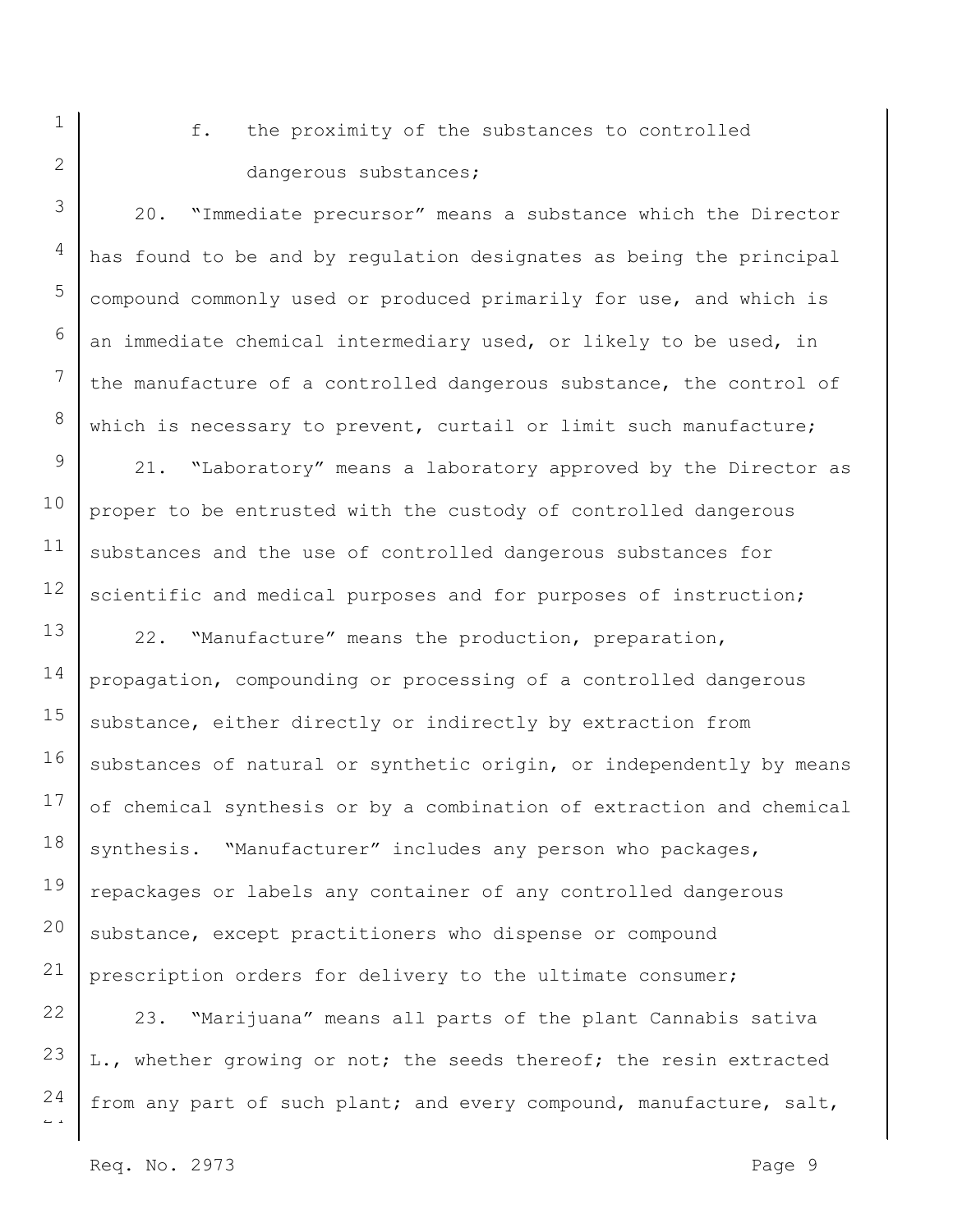f. the proximity of the substances to controlled dangerous substances;

20. "Immediate precursor" means a substance which the Director has found to be and by regulation designates as being the principal compound commonly used or produced primarily for use, and which is an immediate chemical intermediary used, or likely to be used, in the manufacture of a controlled dangerous substance, the control of which is necessary to prevent, curtail or limit such manufacture;

21. "Laboratory" means a laboratory approved by the Director as proper to be entrusted with the custody of controlled dangerous substances and the use of controlled dangerous substances for scientific and medical purposes and for purposes of instruction;

14 15 16 17 18 19 20 21 22. "Manufacture" means the production, preparation, propagation, compounding or processing of a controlled dangerous substance, either directly or indirectly by extraction from substances of natural or synthetic origin, or independently by means of chemical synthesis or by a combination of extraction and chemical synthesis. "Manufacturer" includes any person who packages, repackages or labels any container of any controlled dangerous substance, except practitioners who dispense or compound prescription orders for delivery to the ultimate consumer;

 $\overline{a}$ 22 23 24 23. "Marijuana" means all parts of the plant Cannabis sativa L., whether growing or not; the seeds thereof; the resin extracted from any part of such plant; and every compound, manufacture, salt,

1

2

3

4

5

6

7

8

9

10

11

12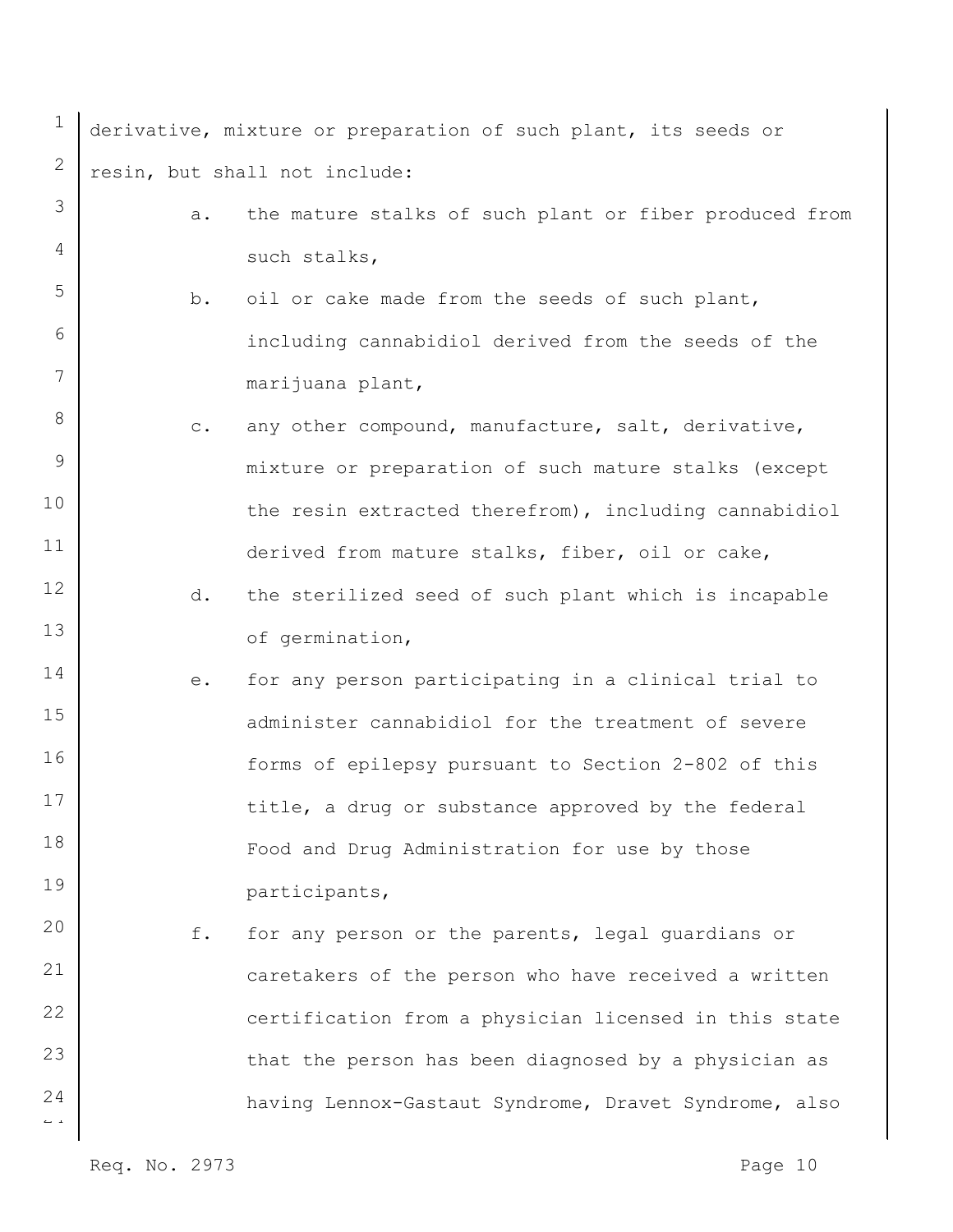| 1                              |                | derivative, mixture or preparation of such plant, its seeds or |
|--------------------------------|----------------|----------------------------------------------------------------|
| 2                              |                | resin, but shall not include:                                  |
| 3                              | a.             | the mature stalks of such plant or fiber produced from         |
| 4                              |                | such stalks,                                                   |
| 5                              | b.             | oil or cake made from the seeds of such plant,                 |
| 6                              |                | including cannabidiol derived from the seeds of the            |
| 7                              |                | marijuana plant,                                               |
| 8                              | $\mathtt{C}$ . | any other compound, manufacture, salt, derivative,             |
| 9                              |                | mixture or preparation of such mature stalks (except           |
| 10                             |                | the resin extracted therefrom), including cannabidiol          |
| 11                             |                | derived from mature stalks, fiber, oil or cake,                |
| 12                             | d.             | the sterilized seed of such plant which is incapable           |
| 13                             |                | of germination,                                                |
| 14                             | е.             | for any person participating in a clinical trial to            |
| 15                             |                | administer cannabidiol for the treatment of severe             |
| 16                             |                | forms of epilepsy pursuant to Section 2-802 of this            |
| 17                             |                | title, a drug or substance approved by the federal             |
| 18                             |                | Food and Drug Administration for use by those                  |
| 19                             |                | participants,                                                  |
| 20                             | f.             | for any person or the parents, legal guardians or              |
| 21                             |                | caretakers of the person who have received a written           |
| 22                             |                | certification from a physician licensed in this state          |
| 23                             |                | that the person has been diagnosed by a physician as           |
| 24<br>$\leftharpoonup$ $\lnot$ |                | having Lennox-Gastaut Syndrome, Dravet Syndrome, also          |
|                                |                |                                                                |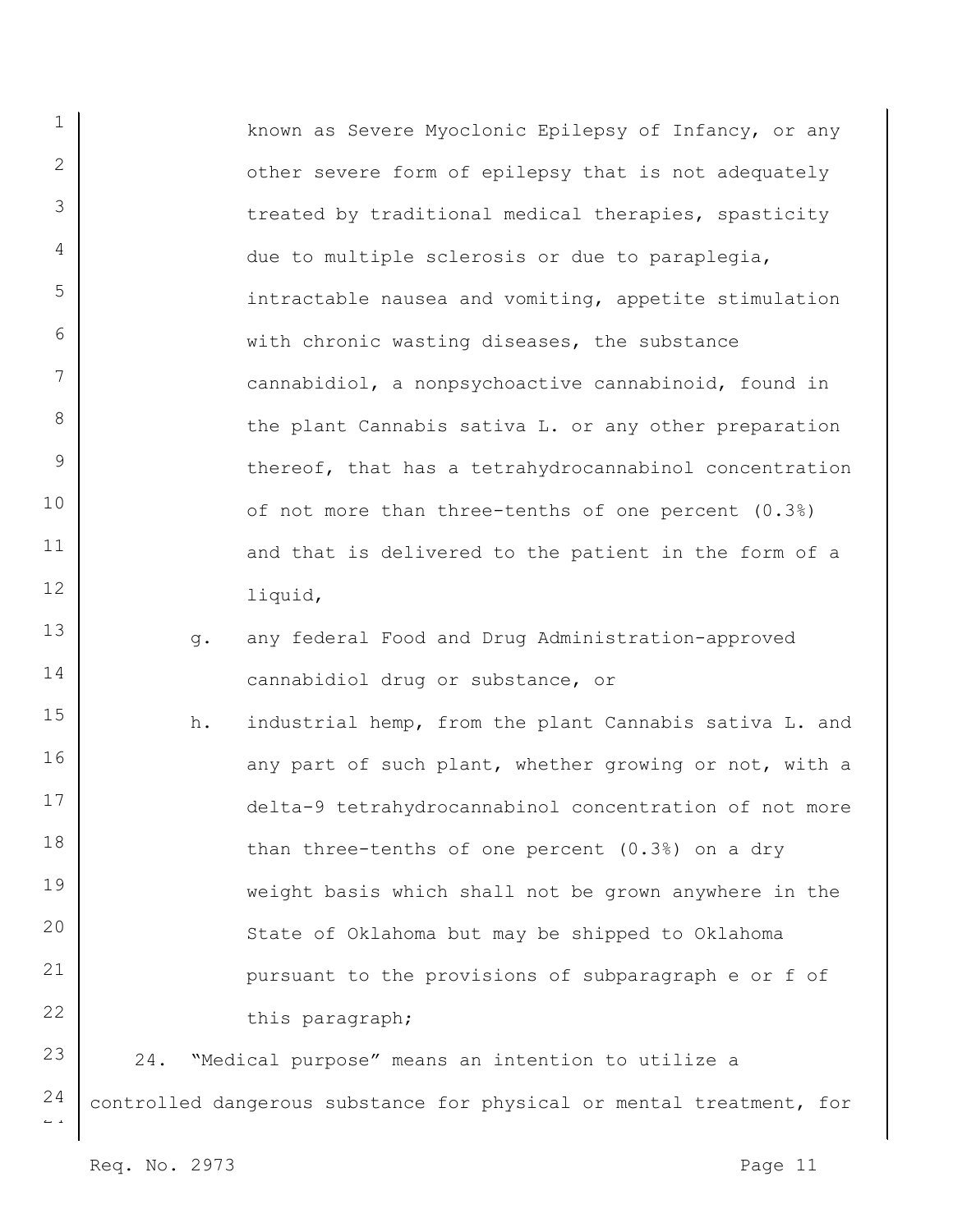known as Severe Myoclonic Epilepsy of Infancy, or any other severe form of epilepsy that is not adequately treated by traditional medical therapies, spasticity due to multiple sclerosis or due to paraplegia, intractable nausea and vomiting, appetite stimulation with chronic wasting diseases, the substance cannabidiol, a nonpsychoactive cannabinoid, found in the plant Cannabis sativa L. or any other preparation thereof, that has a tetrahydrocannabinol concentration of not more than three-tenths of one percent (0.3%) and that is delivered to the patient in the form of a liquid,

- g. any federal Food and Drug Administration-approved cannabidiol drug or substance, or
- 15 16 17 18 19 20 21 22 h. industrial hemp, from the plant Cannabis sativa L. and any part of such plant, whether growing or not, with a delta-9 tetrahydrocannabinol concentration of not more than three-tenths of one percent (0.3%) on a dry weight basis which shall not be grown anywhere in the State of Oklahoma but may be shipped to Oklahoma pursuant to the provisions of subparagraph e or f of this paragraph;

23 24 24. "Medical purpose" means an intention to utilize a controlled dangerous substance for physical or mental treatment, for

 $\overline{a}$ 

1

2

3

4

5

6

7

8

9

10

11

12

13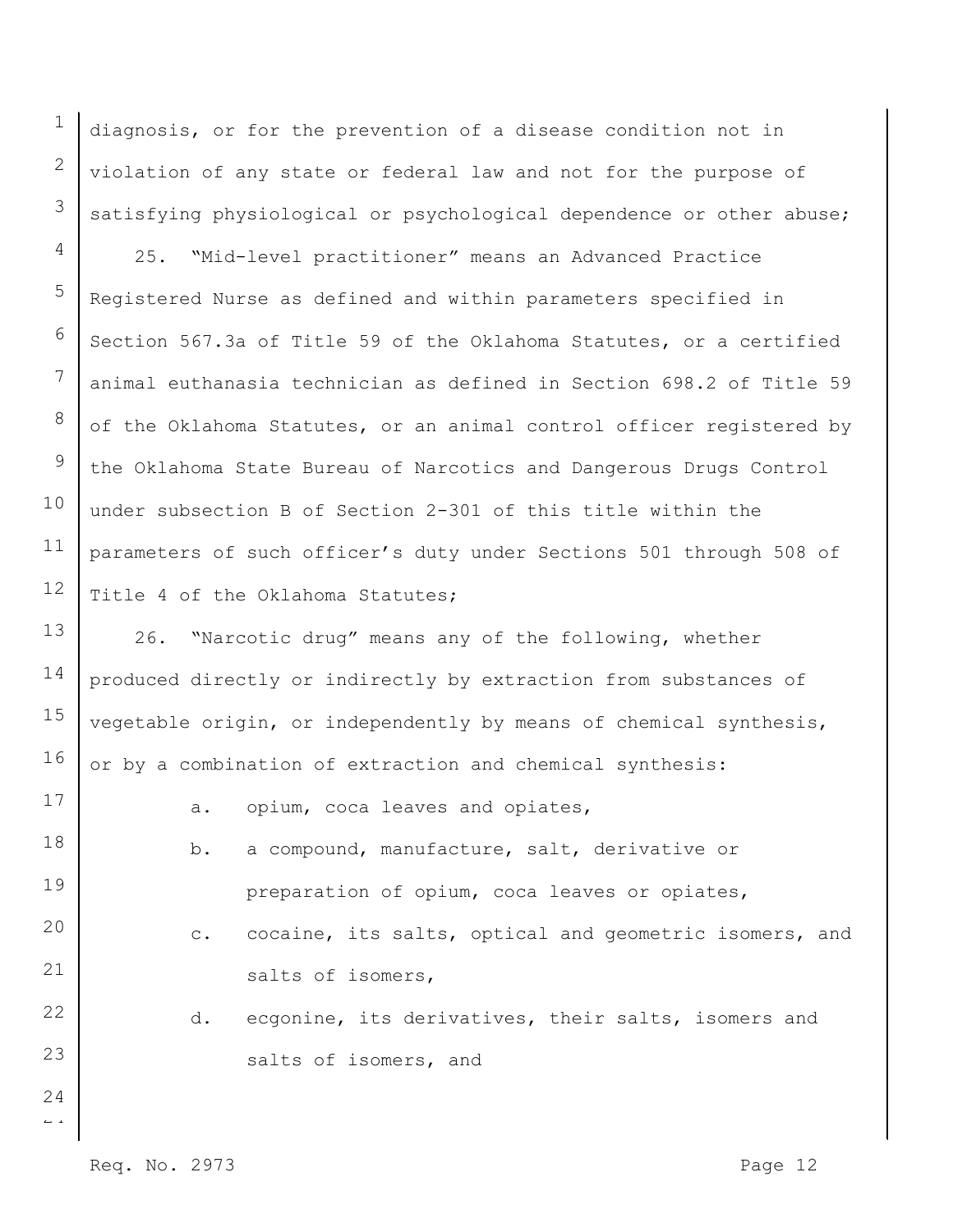diagnosis, or for the prevention of a disease condition not in violation of any state or federal law and not for the purpose of satisfying physiological or psychological dependence or other abuse;

4 5 6 7 8 9 10 11 12 25. "Mid-level practitioner" means an Advanced Practice Registered Nurse as defined and within parameters specified in Section 567.3a of Title 59 of the Oklahoma Statutes, or a certified animal euthanasia technician as defined in Section 698.2 of Title 59 of the Oklahoma Statutes, or an animal control officer registered by the Oklahoma State Bureau of Narcotics and Dangerous Drugs Control under subsection B of Section 2-301 of this title within the parameters of such officer's duty under Sections 501 through 508 of Title 4 of the Oklahoma Statutes;

13 14 15 16 26. "Narcotic drug" means any of the following, whether produced directly or indirectly by extraction from substances of vegetable origin, or independently by means of chemical synthesis, or by a combination of extraction and chemical synthesis:

- 17 18 19 20 21 22 23 a. opium, coca leaves and opiates, b. a compound, manufacture, salt, derivative or preparation of opium, coca leaves or opiates, c. cocaine, its salts, optical and geometric isomers, and salts of isomers, d. ecgonine, its derivatives, their salts, isomers and salts of isomers, and
	- Req. No. 2973 Page 12

 $\overline{a}$ 

24

1

2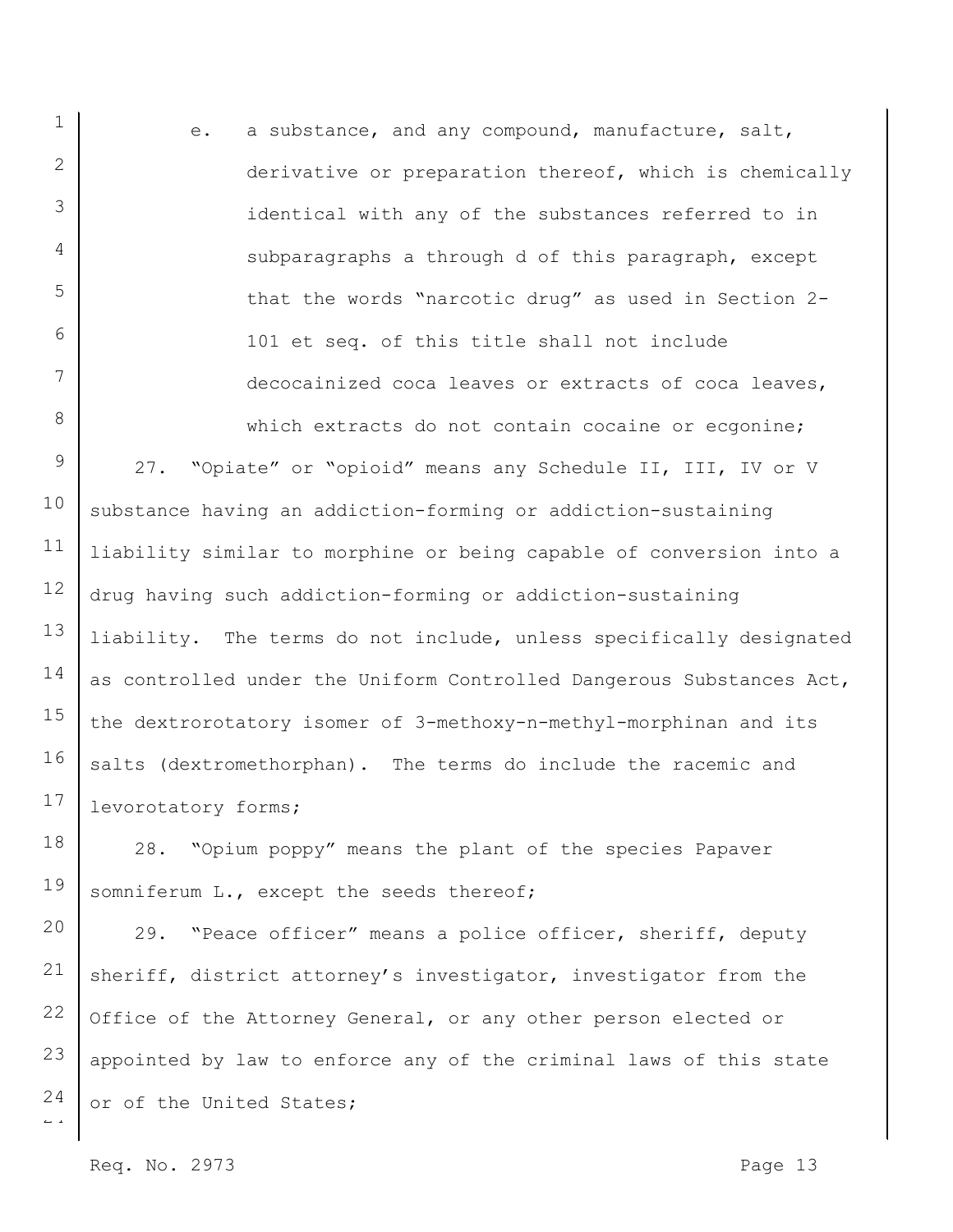e. a substance, and any compound, manufacture, salt, derivative or preparation thereof, which is chemically identical with any of the substances referred to in subparagraphs a through d of this paragraph, except that the words "narcotic drug" as used in Section 2- 101 et seq. of this title shall not include decocainized coca leaves or extracts of coca leaves, which extracts do not contain cocaine or ecgonine;

9 10 11 12 13 14 15 16 17 27. "Opiate" or "opioid" means any Schedule II, III, IV or V substance having an addiction-forming or addiction-sustaining liability similar to morphine or being capable of conversion into a drug having such addiction-forming or addiction-sustaining liability. The terms do not include, unless specifically designated as controlled under the Uniform Controlled Dangerous Substances Act, the dextrorotatory isomer of 3-methoxy-n-methyl-morphinan and its salts (dextromethorphan). The terms do include the racemic and levorotatory forms;

18 19 28. "Opium poppy" means the plant of the species Papaver somniferum L., except the seeds thereof;

 $\overline{a}$ 20 21 22 23 24 29. "Peace officer" means a police officer, sheriff, deputy sheriff, district attorney's investigator, investigator from the Office of the Attorney General, or any other person elected or appointed by law to enforce any of the criminal laws of this state or of the United States;

Req. No. 2973 Page 13

1

2

3

4

5

6

7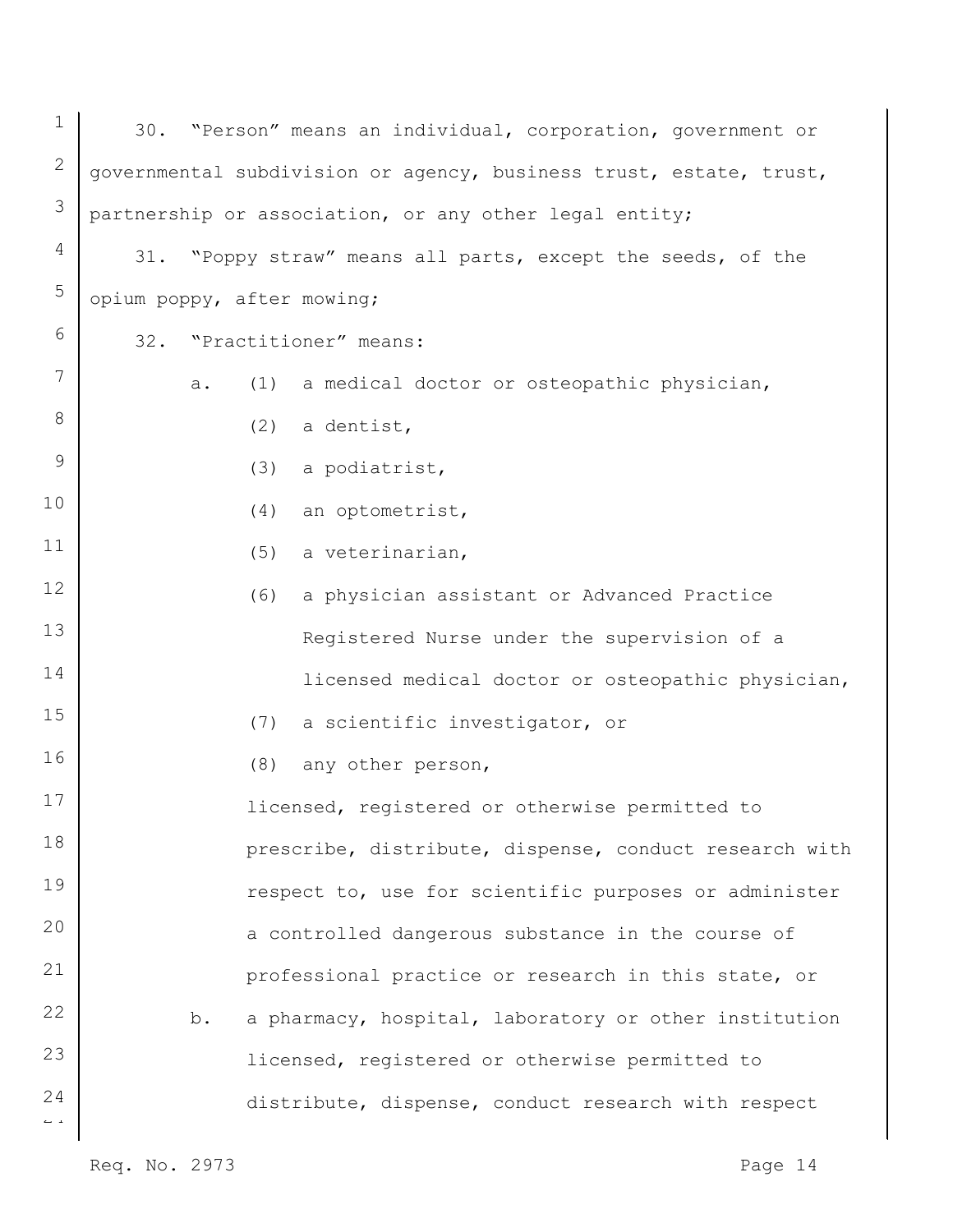| $\mathbf 1$                    | 30. "Person" means an individual, corporation, government or       |
|--------------------------------|--------------------------------------------------------------------|
| $\mathbf{2}$                   | governmental subdivision or agency, business trust, estate, trust, |
| 3                              | partnership or association, or any other legal entity;             |
| 4                              | 31. "Poppy straw" means all parts, except the seeds, of the        |
| 5                              | opium poppy, after mowing;                                         |
| 6                              | 32. "Practitioner" means:                                          |
| 7                              | a medical doctor or osteopathic physician,<br>(1)<br>a.            |
| 8                              | a dentist,<br>(2)                                                  |
| 9                              | (3)<br>a podiatrist,                                               |
| 10                             | an optometrist,<br>(4)                                             |
| 11                             | a veterinarian,<br>(5)                                             |
| 12                             | a physician assistant or Advanced Practice<br>(6)                  |
| 13                             | Registered Nurse under the supervision of a                        |
| 14                             | licensed medical doctor or osteopathic physician,                  |
| 15                             | (7)<br>a scientific investigator, or                               |
| 16                             | any other person,<br>(8)                                           |
| 17                             | licensed, registered or otherwise permitted to                     |
| 18                             | prescribe, distribute, dispense, conduct research with             |
| 19                             | respect to, use for scientific purposes or administer              |
| 20                             | a controlled dangerous substance in the course of                  |
| 21                             | professional practice or research in this state, or                |
| 22                             | a pharmacy, hospital, laboratory or other institution<br>b.        |
| 23                             | licensed, registered or otherwise permitted to                     |
| 24<br>$\mathbb{L} \rightarrow$ | distribute, dispense, conduct research with respect                |
|                                |                                                                    |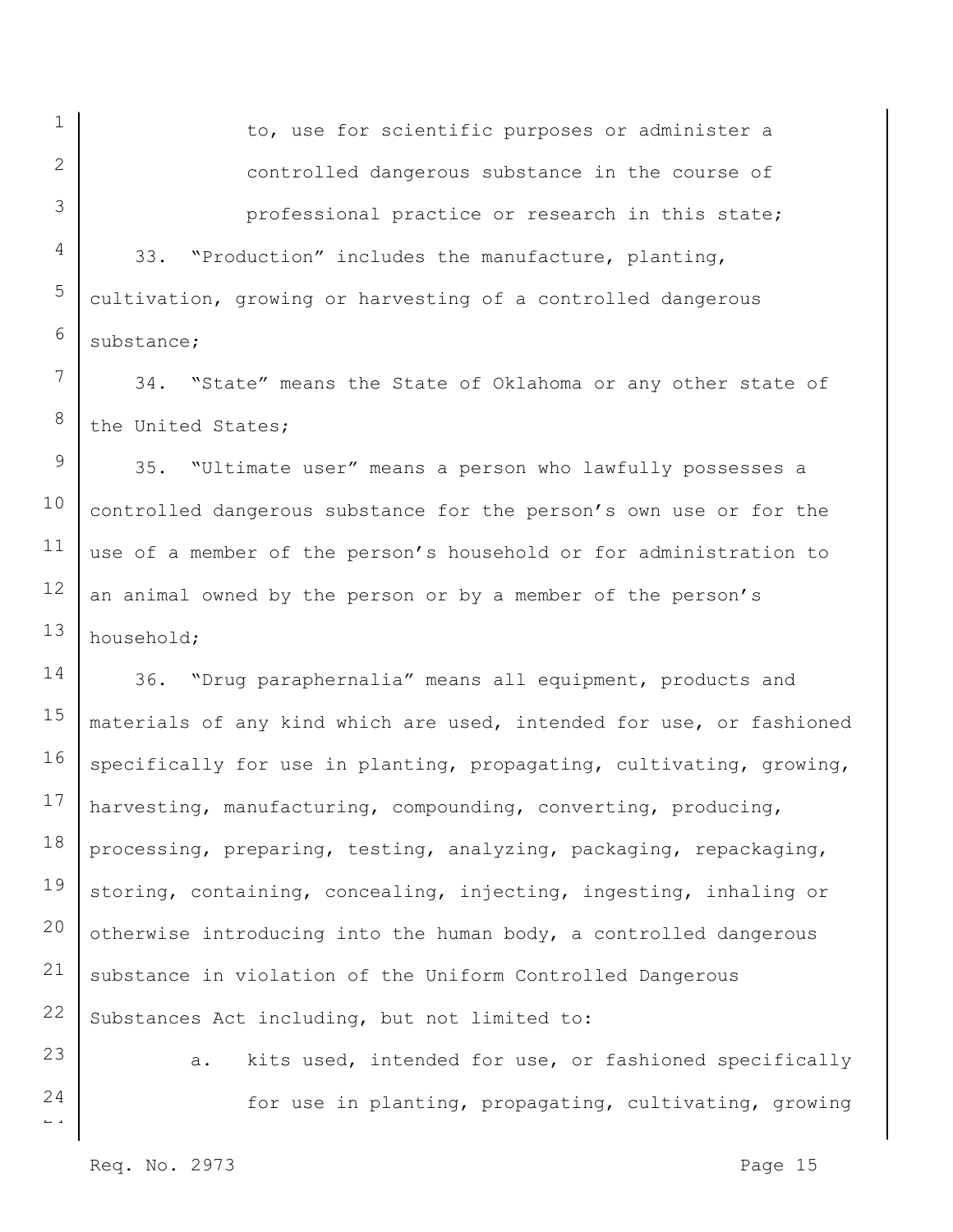1

to, use for scientific purposes or administer a controlled dangerous substance in the course of professional practice or research in this state;

33. "Production" includes the manufacture, planting, cultivation, growing or harvesting of a controlled dangerous substance;

34. "State" means the State of Oklahoma or any other state of the United States;

35. "Ultimate user" means a person who lawfully possesses a controlled dangerous substance for the person's own use or for the use of a member of the person's household or for administration to an animal owned by the person or by a member of the person's household;

17 18 19 20 21 22 36. "Drug paraphernalia" means all equipment, products and materials of any kind which are used, intended for use, or fashioned specifically for use in planting, propagating, cultivating, growing, harvesting, manufacturing, compounding, converting, producing, processing, preparing, testing, analyzing, packaging, repackaging, storing, containing, concealing, injecting, ingesting, inhaling or otherwise introducing into the human body, a controlled dangerous substance in violation of the Uniform Controlled Dangerous Substances Act including, but not limited to:

23 24

 $\overline{a}$ 

a. kits used, intended for use, or fashioned specifically for use in planting, propagating, cultivating, growing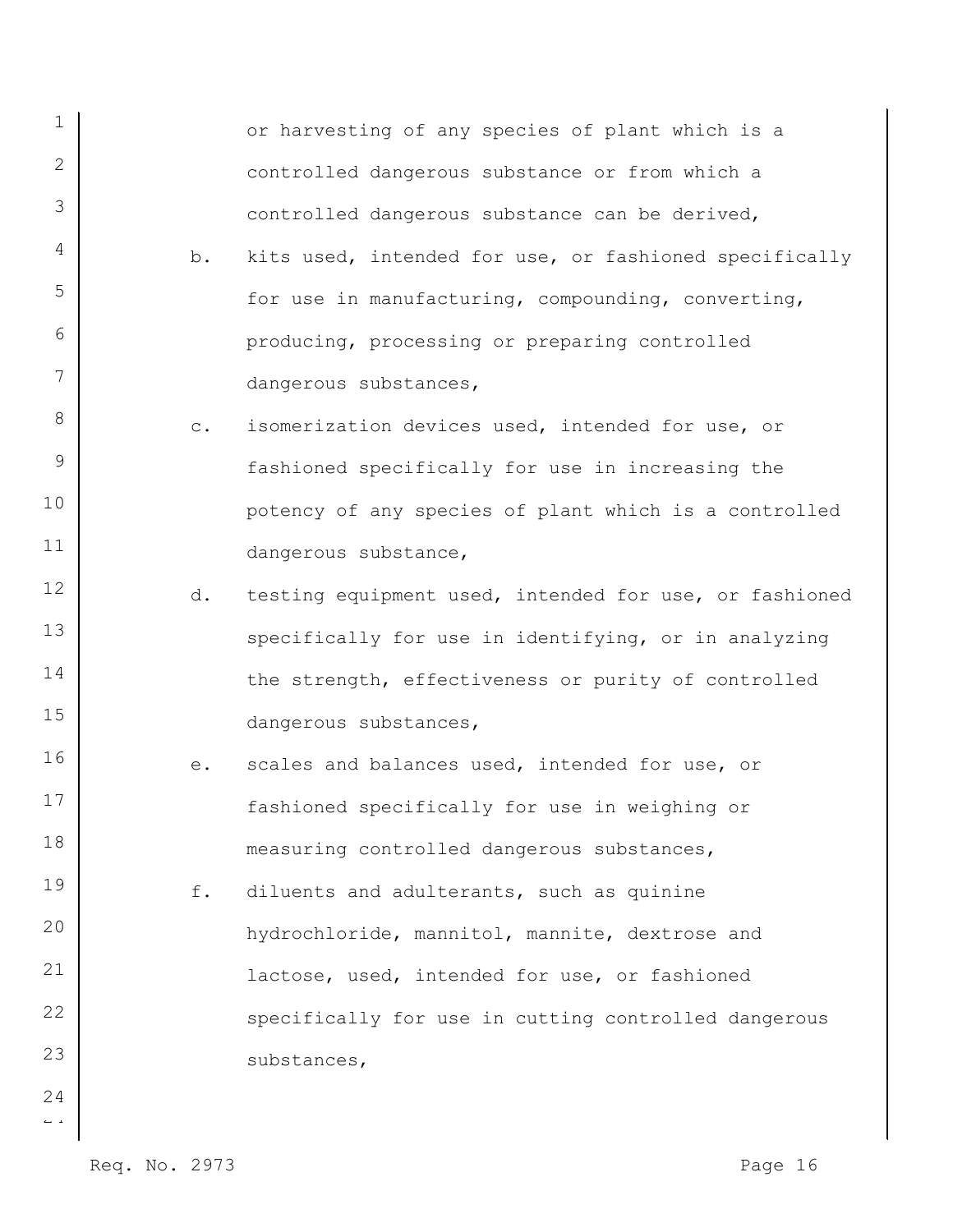| $\mathbf 1$ |           | or harvesting of any species of plant which is a       |
|-------------|-----------|--------------------------------------------------------|
| 2           |           | controlled dangerous substance or from which a         |
| 3           |           | controlled dangerous substance can be derived,         |
| 4           | b.        | kits used, intended for use, or fashioned specifically |
| 5           |           | for use in manufacturing, compounding, converting,     |
| 6           |           | producing, processing or preparing controlled          |
| 7           |           | dangerous substances,                                  |
| 8           | $\circ$ . | isomerization devices used, intended for use, or       |
| 9           |           | fashioned specifically for use in increasing the       |
| 10          |           | potency of any species of plant which is a controlled  |
| 11          |           | dangerous substance,                                   |
| 12          | d.        | testing equipment used, intended for use, or fashioned |
| 13          |           | specifically for use in identifying, or in analyzing   |
| 14          |           | the strength, effectiveness or purity of controlled    |
| 15          |           | dangerous substances,                                  |
| 16          | е.        | scales and balances used, intended for use, or         |
| 17          |           | fashioned specifically for use in weighing or          |
| 18          |           | measuring controlled dangerous substances,             |
| 19          | f.        | diluents and adulterants, such as quinine              |
| 20          |           | hydrochloride, mannitol, mannite, dextrose and         |
| 21          |           | lactose, used, intended for use, or fashioned          |
| 22          |           | specifically for use in cutting controlled dangerous   |
| 23          |           | substances,                                            |
| 24          |           |                                                        |

Req. No. 2973 Page 16

 $\sim$   $\sim$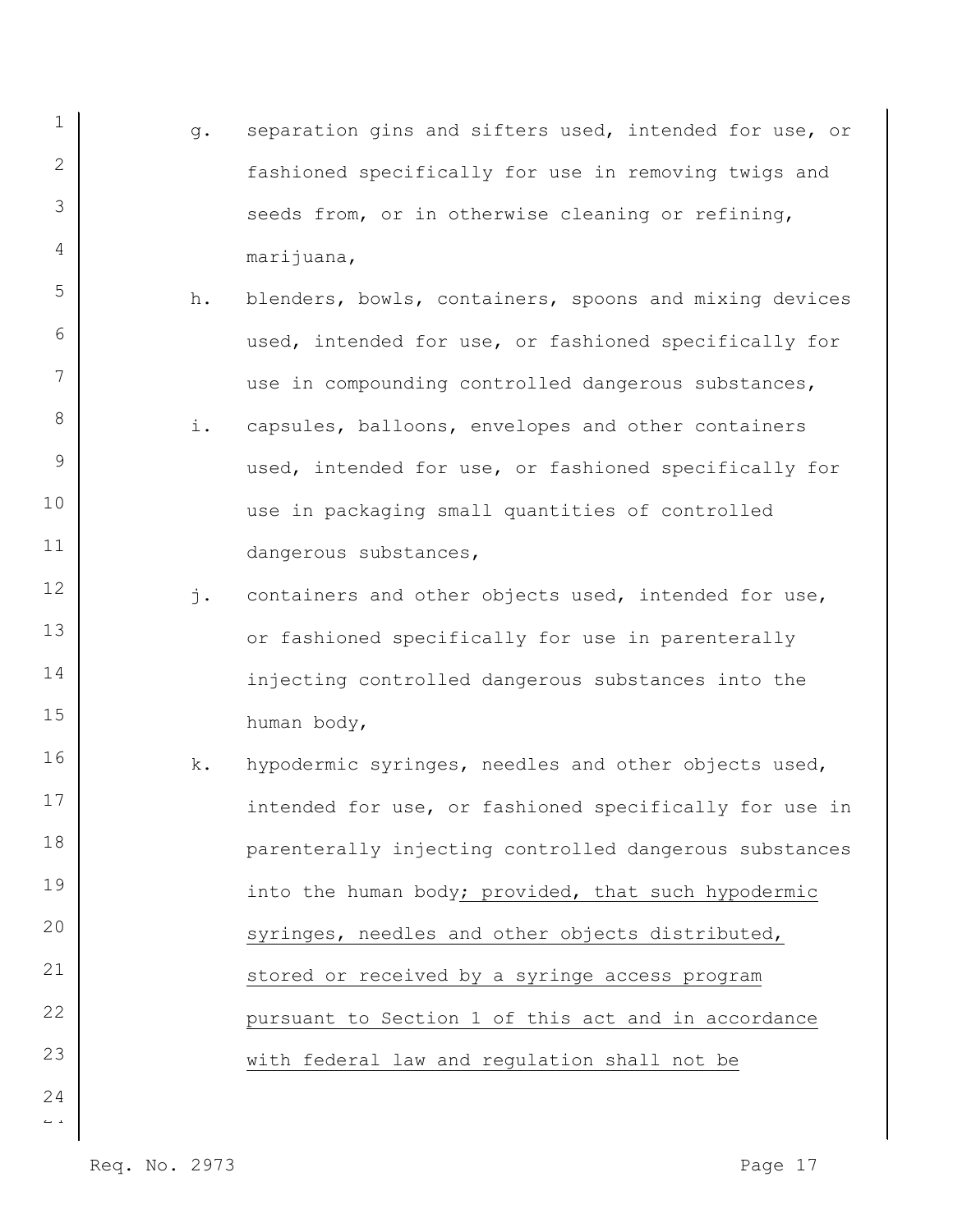- 1 2 3 4 g. separation gins and sifters used, intended for use, or fashioned specifically for use in removing twigs and seeds from, or in otherwise cleaning or refining, marijuana,
	- h. blenders, bowls, containers, spoons and mixing devices used, intended for use, or fashioned specifically for use in compounding controlled dangerous substances,
- 8 9 10 11 i. capsules, balloons, envelopes and other containers used, intended for use, or fashioned specifically for use in packaging small quantities of controlled dangerous substances,
	- j. containers and other objects used, intended for use, or fashioned specifically for use in parenterally injecting controlled dangerous substances into the human body,
- 16 17 18 19 20 21 22 23 k. hypodermic syringes, needles and other objects used, intended for use, or fashioned specifically for use in parenterally injecting controlled dangerous substances into the human body; provided, that such hypodermic syringes, needles and other objects distributed, stored or received by a syringe access program pursuant to Section 1 of this act and in accordance with federal law and regulation shall not be
- $\overline{a}$ 24

6

7

12

13

14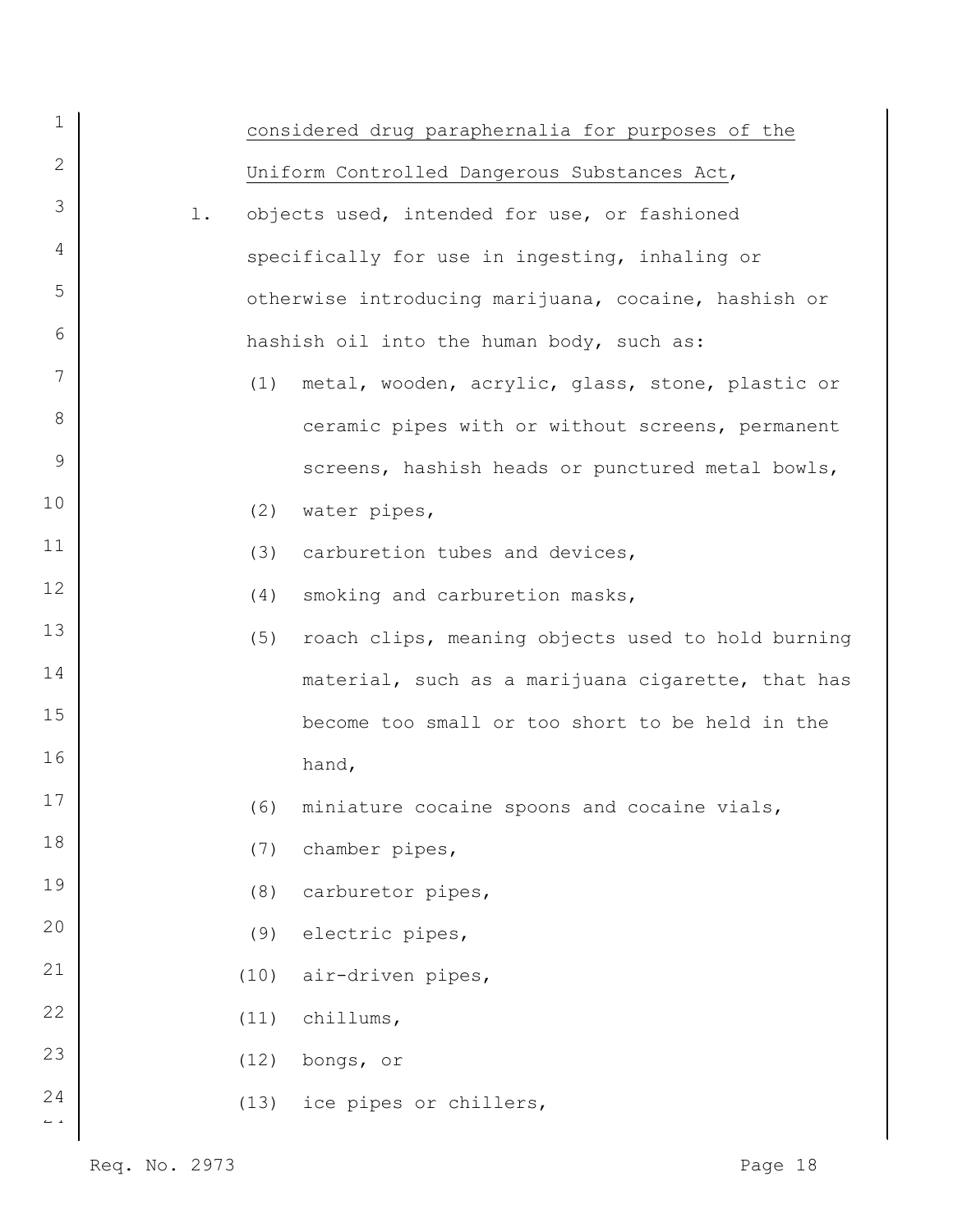| 1                              |    |      | considered drug paraphernalia for purposes of the    |
|--------------------------------|----|------|------------------------------------------------------|
| $\mathbf{2}$                   |    |      | Uniform Controlled Dangerous Substances Act,         |
| 3                              | 1. |      | objects used, intended for use, or fashioned         |
| 4                              |    |      | specifically for use in ingesting, inhaling or       |
| 5                              |    |      | otherwise introducing marijuana, cocaine, hashish or |
| 6                              |    |      | hashish oil into the human body, such as:            |
| 7                              |    |      | (1) metal, wooden, acrylic, glass, stone, plastic or |
| 8                              |    |      | ceramic pipes with or without screens, permanent     |
| 9                              |    |      | screens, hashish heads or punctured metal bowls,     |
| 10                             |    | (2)  | water pipes,                                         |
| 11                             |    | (3)  | carburetion tubes and devices,                       |
| 12                             |    | (4)  | smoking and carburetion masks,                       |
| 13                             |    | (5)  | roach clips, meaning objects used to hold burning    |
| 14                             |    |      | material, such as a marijuana cigarette, that has    |
| 15                             |    |      | become too small or too short to be held in the      |
| 16                             |    |      | hand,                                                |
| 17                             |    | (6)  | miniature cocaine spoons and cocaine vials,          |
| 18                             |    | (7)  | chamber pipes,                                       |
| 19                             |    | (8)  | carburetor pipes,                                    |
| 20                             |    | (9)  | electric pipes,                                      |
| 21                             |    | (10) | air-driven pipes,                                    |
| 22                             |    | (11) | chillums,                                            |
| 23                             |    | (12) | bongs, or                                            |
| 24<br>$\mathbb{L} \rightarrow$ |    | (13) | ice pipes or chillers,                               |
|                                |    |      |                                                      |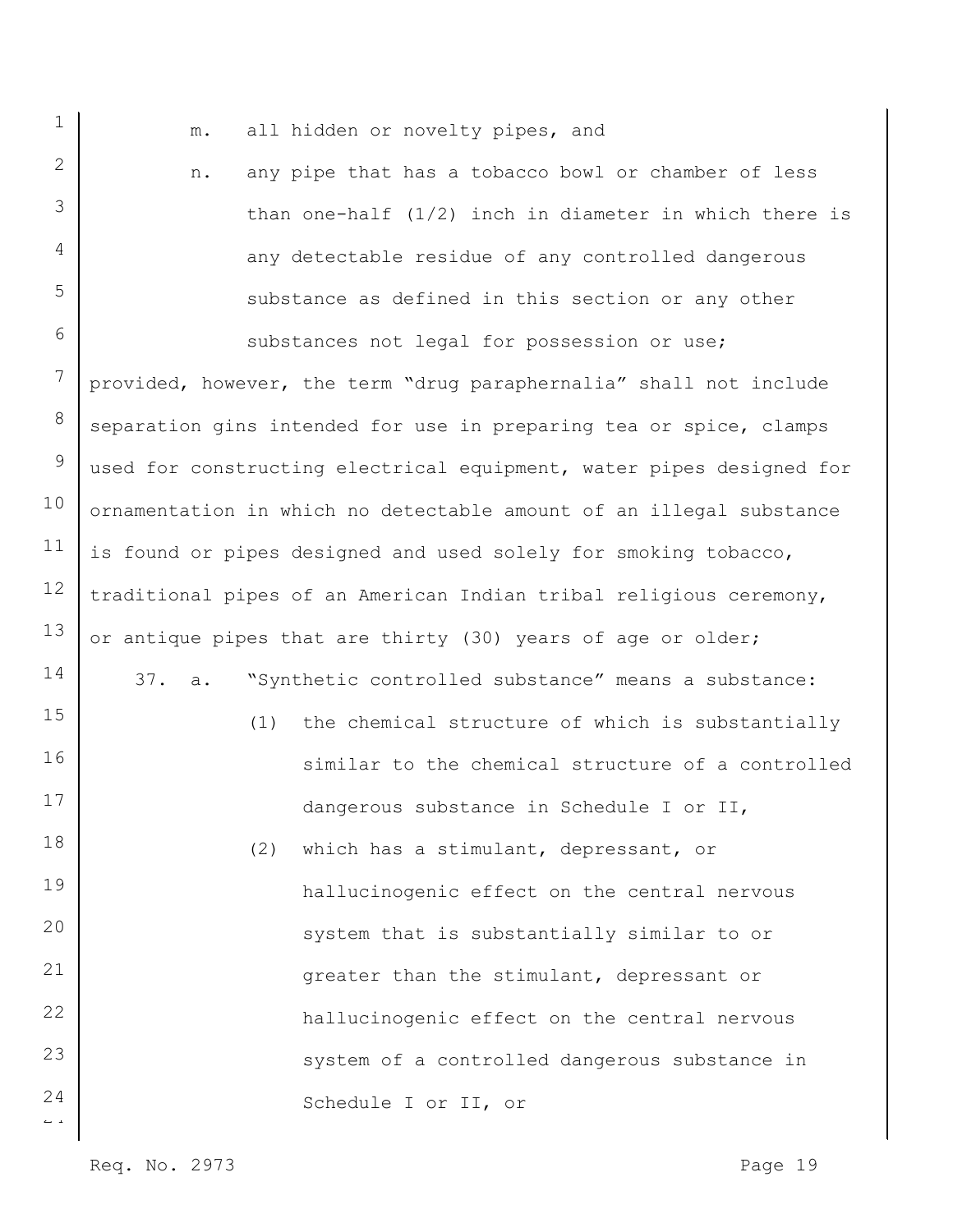m. all hidden or novelty pipes, and

n. any pipe that has a tobacco bowl or chamber of less than one-half (1/2) inch in diameter in which there is any detectable residue of any controlled dangerous substance as defined in this section or any other

 $\overline{a}$ 6 7 8 9 10 11 12 13 14 15 16 17 18 19 20 21 22 23 24 substances not legal for possession or use; provided, however, the term "drug paraphernalia" shall not include separation gins intended for use in preparing tea or spice, clamps used for constructing electrical equipment, water pipes designed for ornamentation in which no detectable amount of an illegal substance is found or pipes designed and used solely for smoking tobacco, traditional pipes of an American Indian tribal religious ceremony, or antique pipes that are thirty (30) years of age or older; 37. a. "Synthetic controlled substance" means a substance: (1) the chemical structure of which is substantially similar to the chemical structure of a controlled dangerous substance in Schedule I or II, (2) which has a stimulant, depressant, or hallucinogenic effect on the central nervous system that is substantially similar to or greater than the stimulant, depressant or hallucinogenic effect on the central nervous system of a controlled dangerous substance in Schedule I or II, or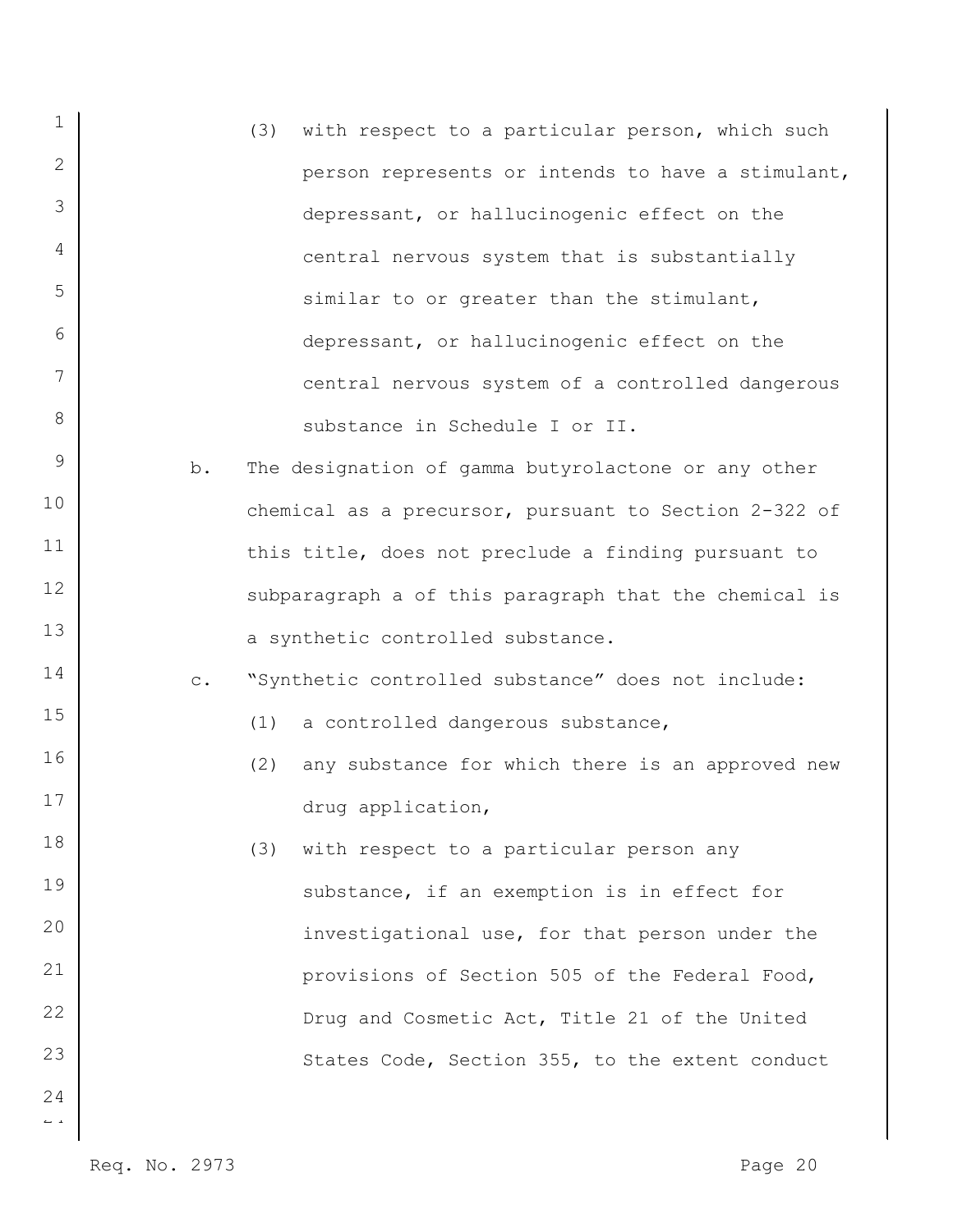| $\mathbf 1$          |                | (3) | with respect to a particular person, which such       |
|----------------------|----------------|-----|-------------------------------------------------------|
| 2                    |                |     | person represents or intends to have a stimulant,     |
| 3                    |                |     | depressant, or hallucinogenic effect on the           |
| 4                    |                |     | central nervous system that is substantially          |
| 5                    |                |     | similar to or greater than the stimulant,             |
| 6                    |                |     | depressant, or hallucinogenic effect on the           |
| $7\overline{ }$      |                |     | central nervous system of a controlled dangerous      |
| 8                    |                |     | substance in Schedule I or II.                        |
| 9                    | b.             |     | The designation of gamma butyrolactone or any other   |
| 10                   |                |     | chemical as a precursor, pursuant to Section 2-322 of |
| 11                   |                |     | this title, does not preclude a finding pursuant to   |
| 12                   |                |     | subparagraph a of this paragraph that the chemical is |
| 13                   |                |     | a synthetic controlled substance.                     |
| 14                   | $\mathtt{C}$ . |     | "Synthetic controlled substance" does not include:    |
| 15                   |                | (1) | a controlled dangerous substance,                     |
| 16                   |                | (2) | any substance for which there is an approved new      |
| 17                   |                |     | drug application,                                     |
| 18                   |                | (3) | with respect to a particular person any               |
| 19                   |                |     | substance, if an exemption is in effect for           |
| 20                   |                |     | investigational use, for that person under the        |
| 21                   |                |     | provisions of Section 505 of the Federal Food,        |
| 22                   |                |     | Drug and Cosmetic Act, Title 21 of the United         |
| 23                   |                |     | States Code, Section 355, to the extent conduct       |
| 24                   |                |     |                                                       |
| $\leftarrow$ $\lnot$ |                |     |                                                       |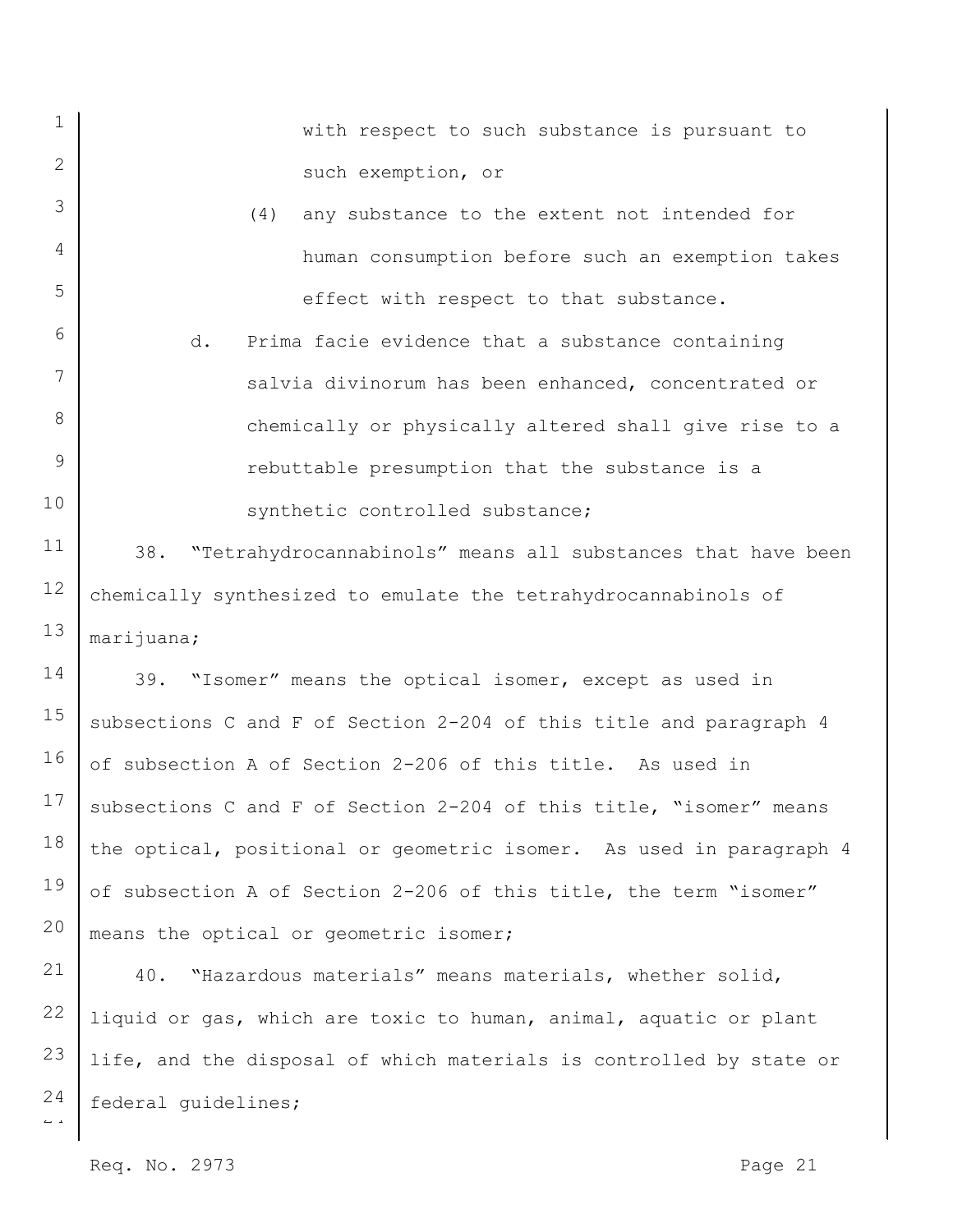| $\mathbf{1}$   | with respect to such substance is pursuant to                       |
|----------------|---------------------------------------------------------------------|
| 2              | such exemption, or                                                  |
| 3              | (4)<br>any substance to the extent not intended for                 |
| $\overline{4}$ | human consumption before such an exemption takes                    |
| 5              | effect with respect to that substance.                              |
| 6              | d.<br>Prima facie evidence that a substance containing              |
| 7              | salvia divinorum has been enhanced, concentrated or                 |
| 8              | chemically or physically altered shall give rise to a               |
| 9              | rebuttable presumption that the substance is a                      |
| 10             | synthetic controlled substance;                                     |
| 11             | 38. "Tetrahydrocannabinols" means all substances that have been     |
| 12             | chemically synthesized to emulate the tetrahydrocannabinols of      |
| 13             | marijuana;                                                          |
| 14             | 39. "Isomer" means the optical isomer, except as used in            |
| 15             | subsections C and F of Section 2-204 of this title and paragraph 4  |
| 16             | of subsection A of Section 2-206 of this title. As used in          |
| 17             | subsections C and F of Section 2-204 of this title, "isomer" means  |
| 18             | the optical, positional or geometric isomer. As used in paragraph 4 |
| 19             | of subsection A of Section 2-206 of this title, the term "isomer"   |
| 20             | means the optical or geometric isomer;                              |
| 21             | "Hazardous materials" means materials, whether solid,<br>40.        |

 $\overline{L}$  a 22 23 24 liquid or gas, which are toxic to human, animal, aquatic or plant life, and the disposal of which materials is controlled by state or federal guidelines;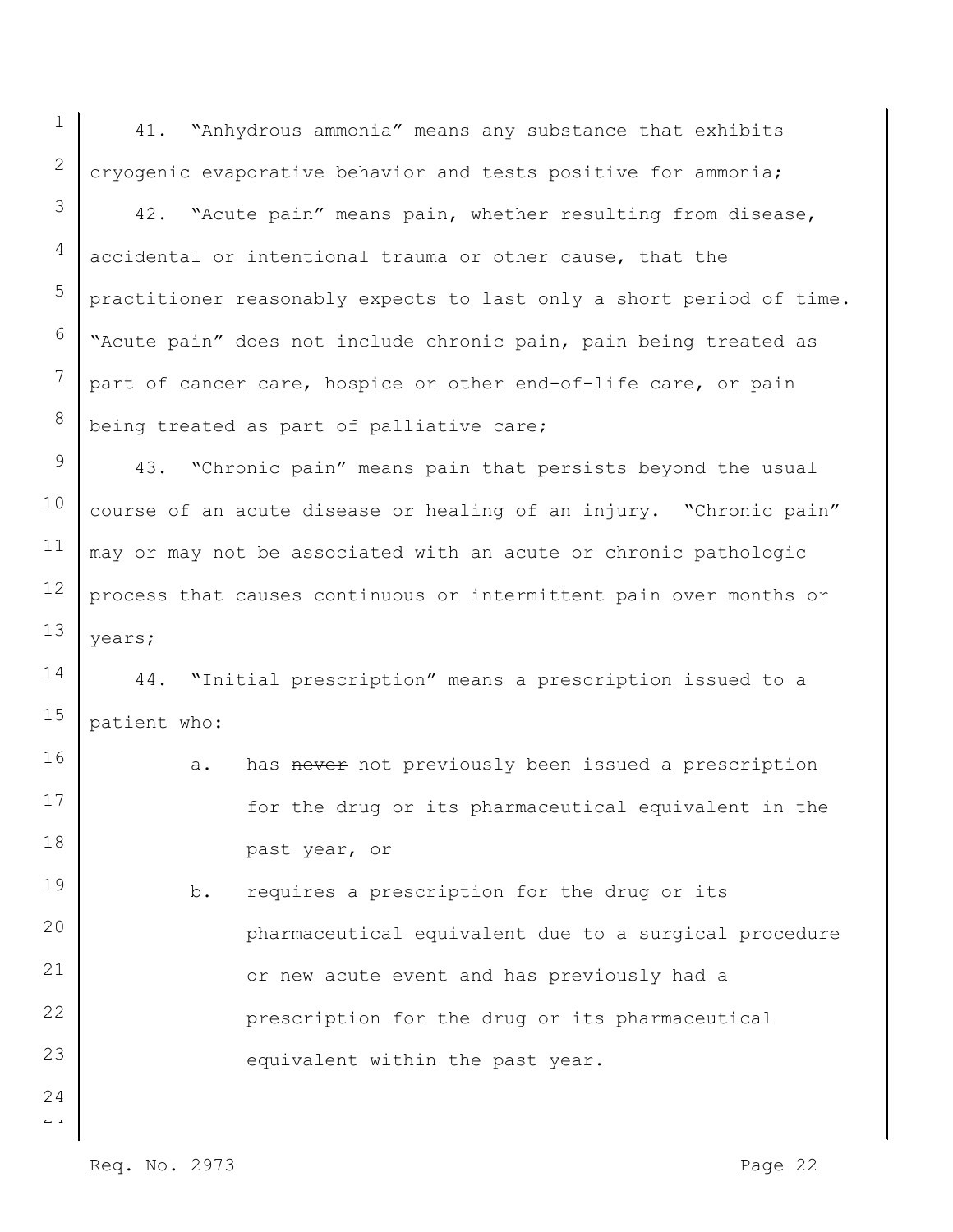41. "Anhydrous ammonia" means any substance that exhibits cryogenic evaporative behavior and tests positive for ammonia;

42. "Acute pain" means pain, whether resulting from disease, accidental or intentional trauma or other cause, that the practitioner reasonably expects to last only a short period of time. "Acute pain" does not include chronic pain, pain being treated as part of cancer care, hospice or other end-of-life care, or pain being treated as part of palliative care;

9 10 11 12 13 43. "Chronic pain" means pain that persists beyond the usual course of an acute disease or healing of an injury. "Chronic pain" may or may not be associated with an acute or chronic pathologic process that causes continuous or intermittent pain over months or years;

14 15 44. "Initial prescription" means a prescription issued to a patient who:

16 17 18 19 a. has never not previously been issued a prescription for the drug or its pharmaceutical equivalent in the past year, or

20 21 22 23 b. requires a prescription for the drug or its pharmaceutical equivalent due to a surgical procedure or new acute event and has previously had a prescription for the drug or its pharmaceutical equivalent within the past year.

 $\overline{a}$ 24

1

2

3

4

5

6

7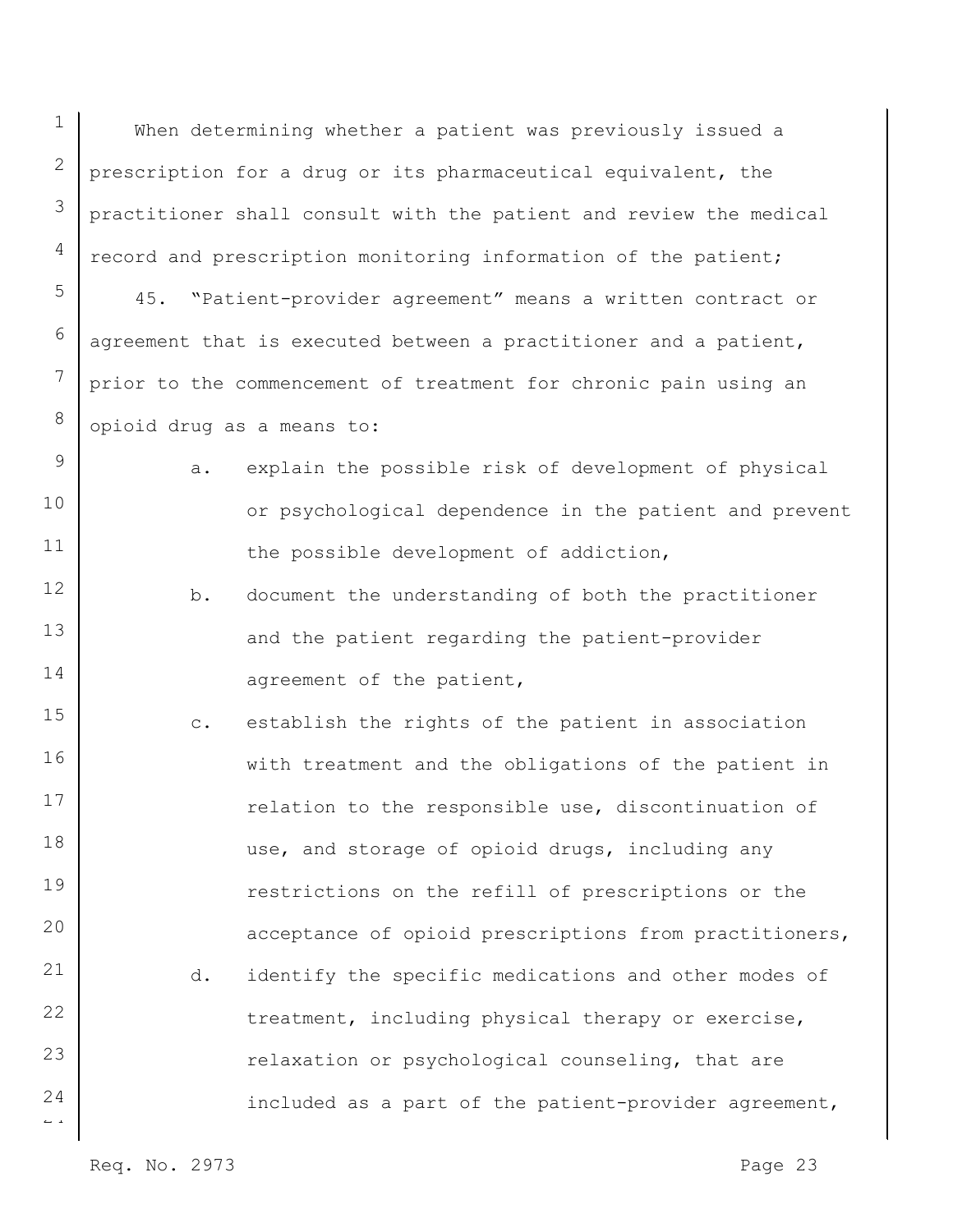$\overline{a}$ 1 2 3 4 5 6 7 8 9 10 11 12 13 14 15 16 17 18 19 20 21 22 23 24 When determining whether a patient was previously issued a prescription for a drug or its pharmaceutical equivalent, the practitioner shall consult with the patient and review the medical record and prescription monitoring information of the patient; 45. "Patient-provider agreement" means a written contract or agreement that is executed between a practitioner and a patient, prior to the commencement of treatment for chronic pain using an opioid drug as a means to: a. explain the possible risk of development of physical or psychological dependence in the patient and prevent the possible development of addiction, b. document the understanding of both the practitioner and the patient regarding the patient-provider agreement of the patient, c. establish the rights of the patient in association with treatment and the obligations of the patient in relation to the responsible use, discontinuation of use, and storage of opioid drugs, including any restrictions on the refill of prescriptions or the acceptance of opioid prescriptions from practitioners, d. identify the specific medications and other modes of treatment, including physical therapy or exercise, relaxation or psychological counseling, that are included as a part of the patient-provider agreement,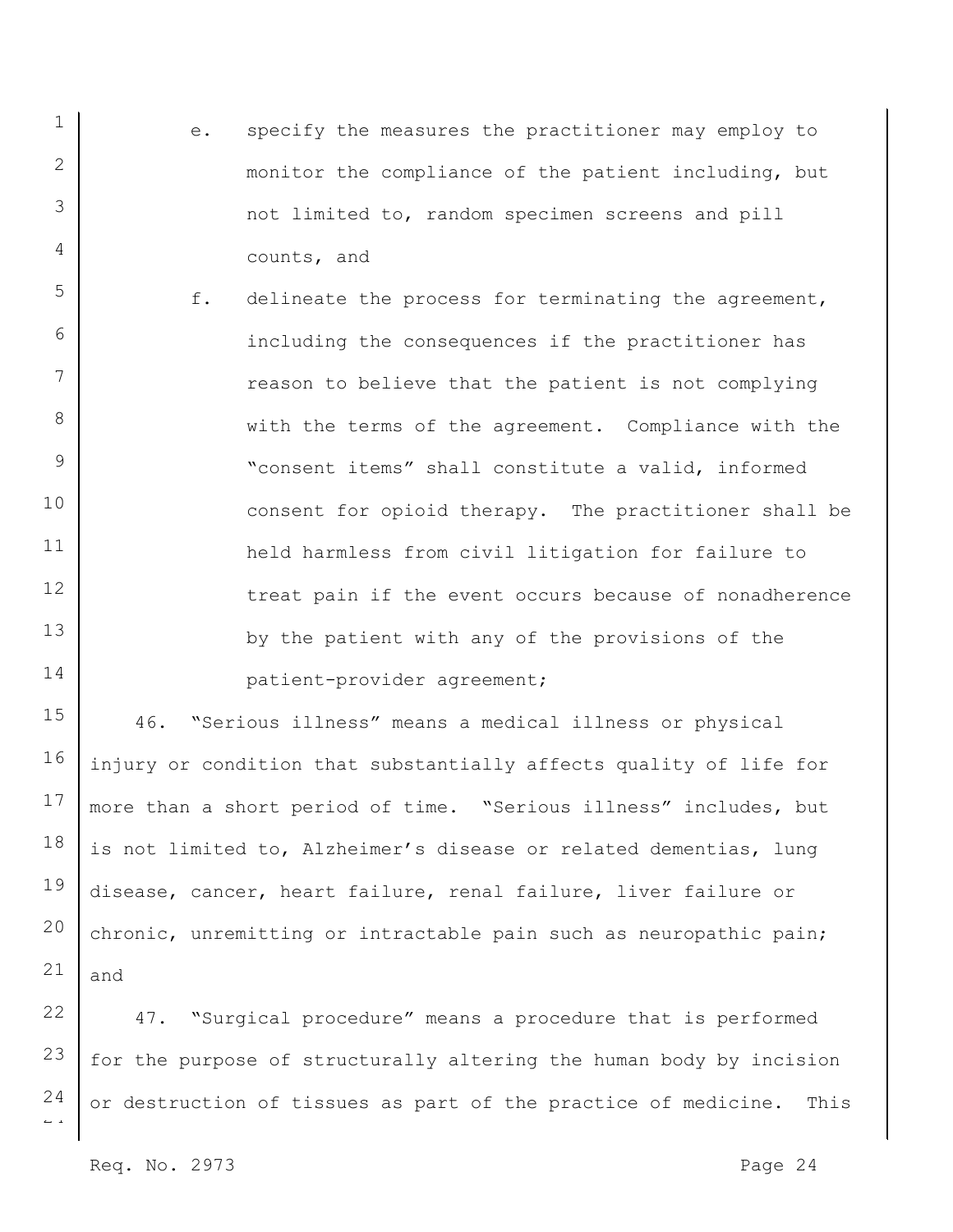- 1 2 3 4 e. specify the measures the practitioner may employ to monitor the compliance of the patient including, but not limited to, random specimen screens and pill counts, and
- 5 6 7 8 9 10 11 12 13 14 f. delineate the process for terminating the agreement, including the consequences if the practitioner has reason to believe that the patient is not complying with the terms of the agreement. Compliance with the "consent items" shall constitute a valid, informed consent for opioid therapy. The practitioner shall be held harmless from civil litigation for failure to treat pain if the event occurs because of nonadherence by the patient with any of the provisions of the patient-provider agreement;

15 16 17 18 19 20 21 46. "Serious illness" means a medical illness or physical injury or condition that substantially affects quality of life for more than a short period of time. "Serious illness" includes, but is not limited to, Alzheimer's disease or related dementias, lung disease, cancer, heart failure, renal failure, liver failure or chronic, unremitting or intractable pain such as neuropathic pain; and

 $\overline{a}$ 22 23 24 47. "Surgical procedure" means a procedure that is performed for the purpose of structurally altering the human body by incision or destruction of tissues as part of the practice of medicine. This